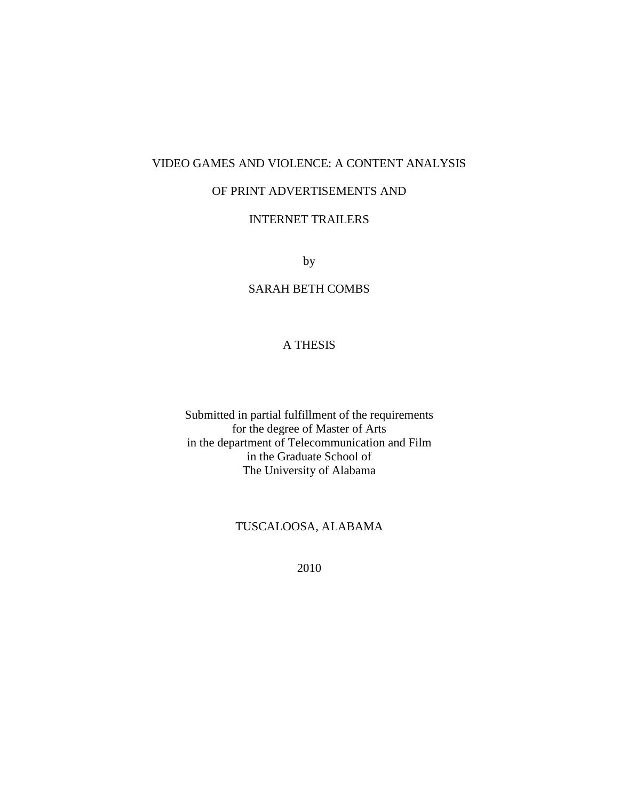# VIDEO GAMES AND VIOLENCE: A CONTENT ANALYSIS

# OF PRINT ADVERTISEMENTS AND

# INTERNET TRAILERS

by

# SARAH BETH COMBS

# A THESIS

Submitted in partial fulfillment of the requirements for the degree of Master of Arts in the department of Telecommunication and Film in the Graduate School of The University of Alabama

# TUSCALOOSA, ALABAMA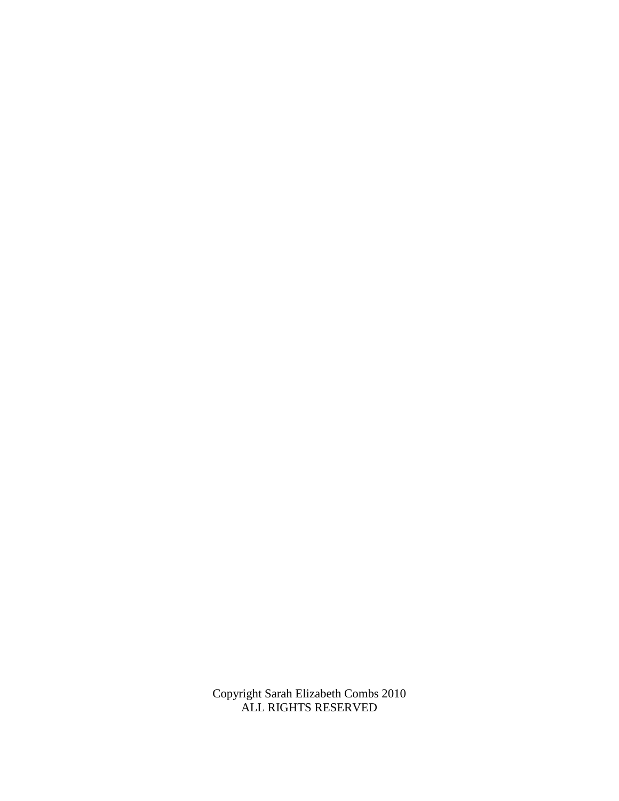Copyright Sarah Elizabeth Combs 2010 ALL RIGHTS RESERVED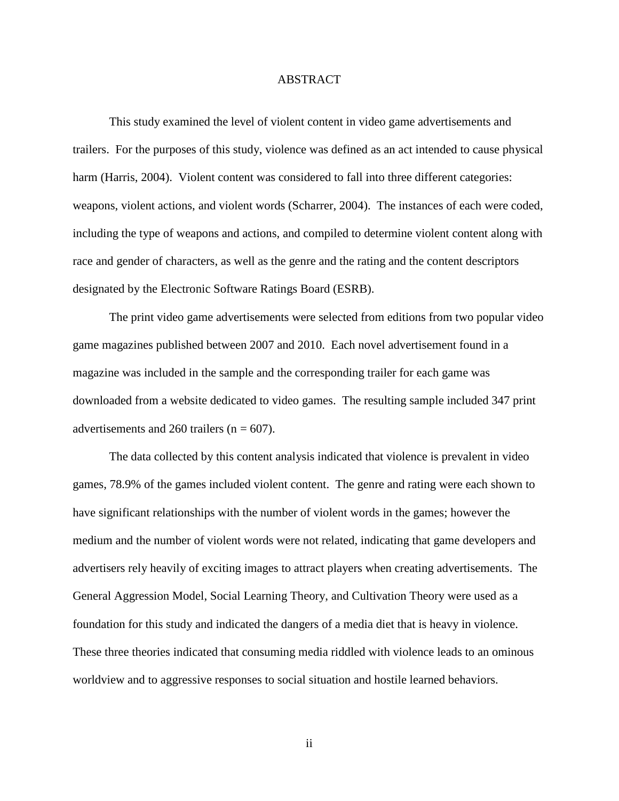## ABSTRACT

This study examined the level of violent content in video game advertisements and trailers. For the purposes of this study, violence was defined as an act intended to cause physical harm (Harris, 2004). Violent content was considered to fall into three different categories: weapons, violent actions, and violent words (Scharrer, 2004). The instances of each were coded, including the type of weapons and actions, and compiled to determine violent content along with race and gender of characters, as well as the genre and the rating and the content descriptors designated by the Electronic Software Ratings Board (ESRB).

The print video game advertisements were selected from editions from two popular video game magazines published between 2007 and 2010. Each novel advertisement found in a magazine was included in the sample and the corresponding trailer for each game was downloaded from a website dedicated to video games. The resulting sample included 347 print advertisements and 260 trailers ( $n = 607$ ).

The data collected by this content analysis indicated that violence is prevalent in video games, 78.9% of the games included violent content. The genre and rating were each shown to have significant relationships with the number of violent words in the games; however the medium and the number of violent words were not related, indicating that game developers and advertisers rely heavily of exciting images to attract players when creating advertisements. The General Aggression Model, Social Learning Theory, and Cultivation Theory were used as a foundation for this study and indicated the dangers of a media diet that is heavy in violence. These three theories indicated that consuming media riddled with violence leads to an ominous worldview and to aggressive responses to social situation and hostile learned behaviors.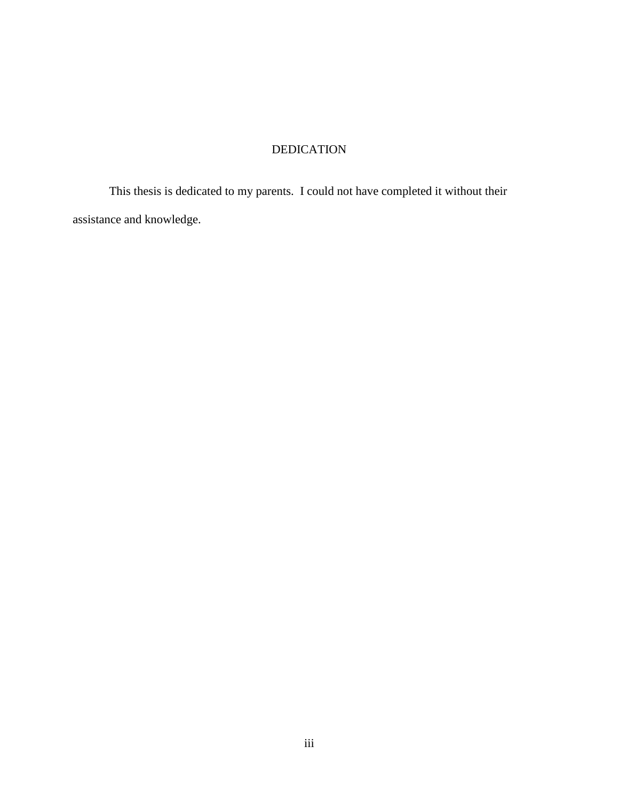# DEDICATION

This thesis is dedicated to my parents. I could not have completed it without their assistance and knowledge.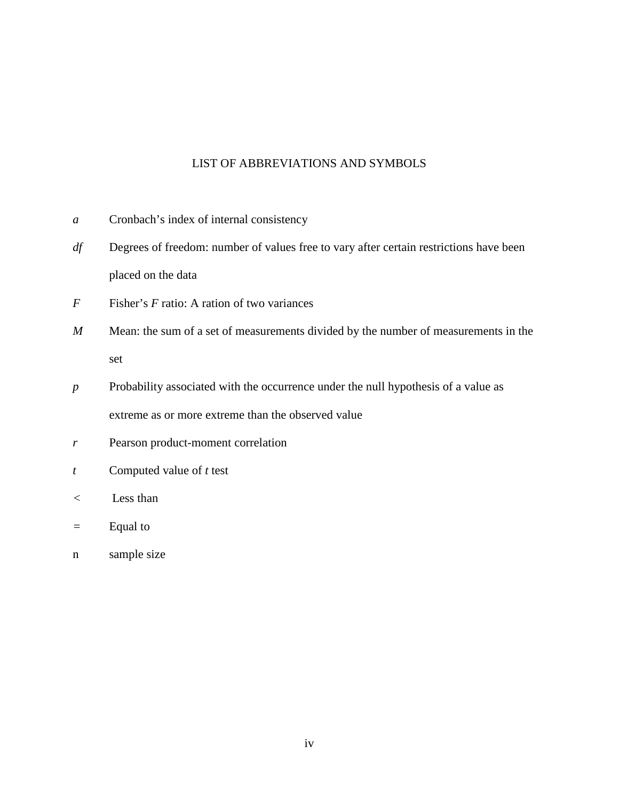# LIST OF ABBREVIATIONS AND SYMBOLS

- *a* Cronbach's index of internal consistency
- *df* Degrees of freedom: number of values free to vary after certain restrictions have been placed on the data
- *F* Fisher's *F* ratio: A ration of two variances
- *M* Mean: the sum of a set of measurements divided by the number of measurements in the set
- *p* Probability associated with the occurrence under the null hypothesis of a value as extreme as or more extreme than the observed value
- *r* Pearson product-moment correlation
- *t* Computed value of *t* test
- *<* Less than
- *=* Equal to
- n sample size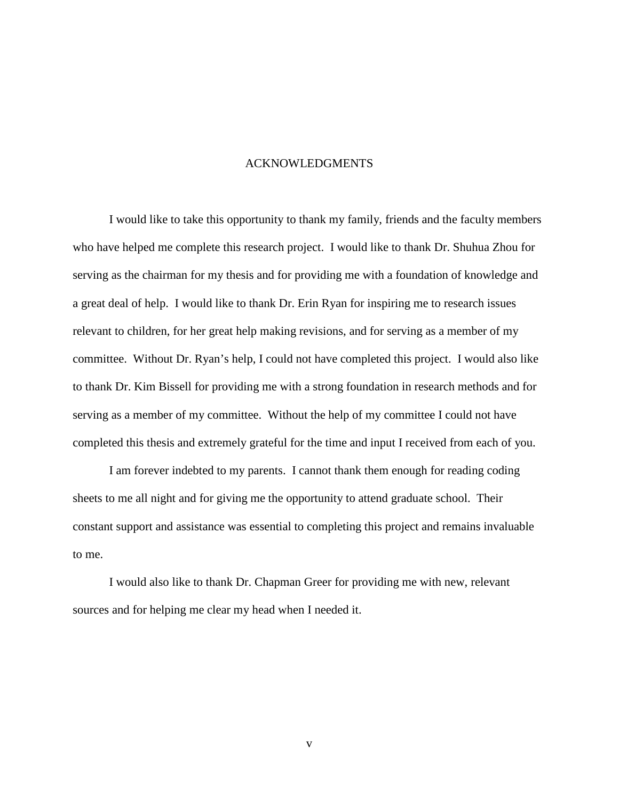## ACKNOWLEDGMENTS

I would like to take this opportunity to thank my family, friends and the faculty members who have helped me complete this research project. I would like to thank Dr. Shuhua Zhou for serving as the chairman for my thesis and for providing me with a foundation of knowledge and a great deal of help. I would like to thank Dr. Erin Ryan for inspiring me to research issues relevant to children, for her great help making revisions, and for serving as a member of my committee. Without Dr. Ryan's help, I could not have completed this project. I would also like to thank Dr. Kim Bissell for providing me with a strong foundation in research methods and for serving as a member of my committee. Without the help of my committee I could not have completed this thesis and extremely grateful for the time and input I received from each of you.

I am forever indebted to my parents. I cannot thank them enough for reading coding sheets to me all night and for giving me the opportunity to attend graduate school. Their constant support and assistance was essential to completing this project and remains invaluable to me.

I would also like to thank Dr. Chapman Greer for providing me with new, relevant sources and for helping me clear my head when I needed it.

v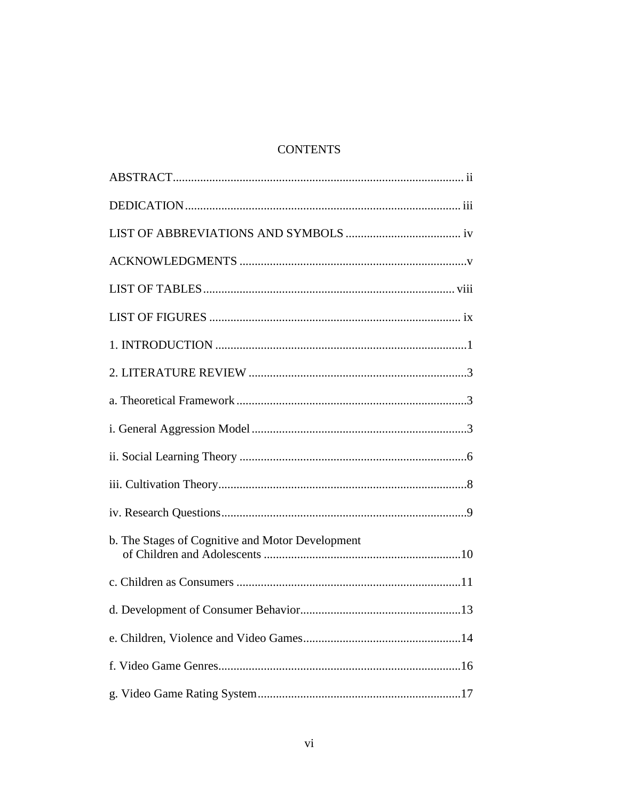# **CONTENTS**

| b. The Stages of Cognitive and Motor Development |
|--------------------------------------------------|
|                                                  |
|                                                  |
|                                                  |
|                                                  |
|                                                  |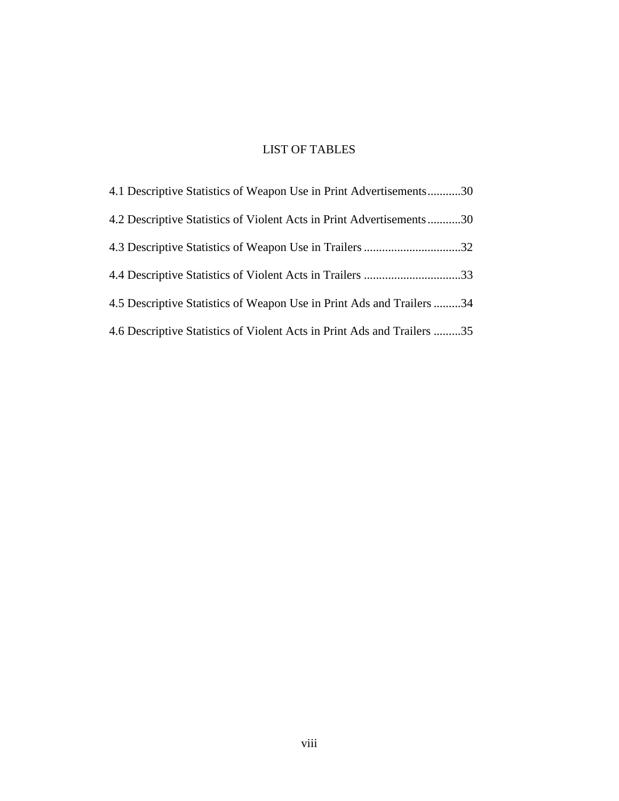# LIST OF TABLES

| 4.1 Descriptive Statistics of Weapon Use in Print Advertisements30      |  |
|-------------------------------------------------------------------------|--|
| 4.2 Descriptive Statistics of Violent Acts in Print Advertisements30    |  |
|                                                                         |  |
|                                                                         |  |
| 4.5 Descriptive Statistics of Weapon Use in Print Ads and Trailers 34   |  |
| 4.6 Descriptive Statistics of Violent Acts in Print Ads and Trailers 35 |  |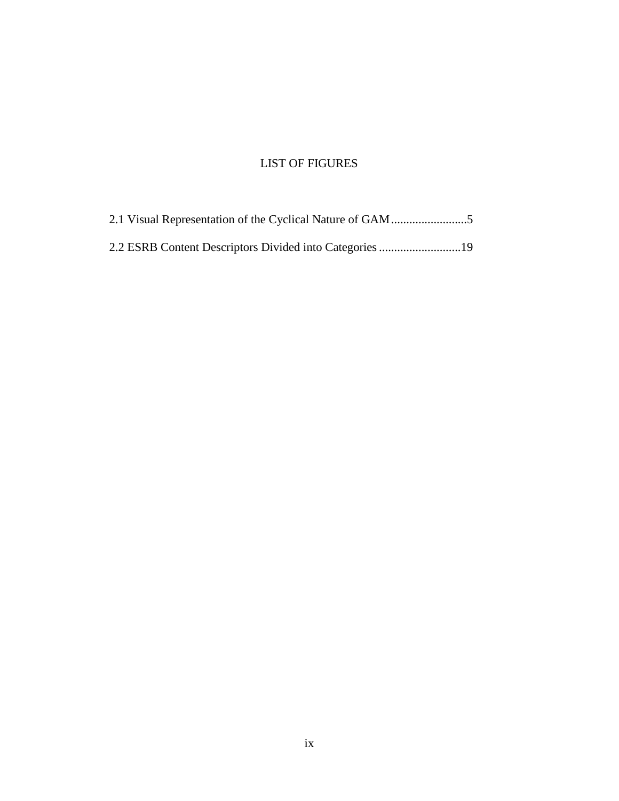# LIST OF FIGURES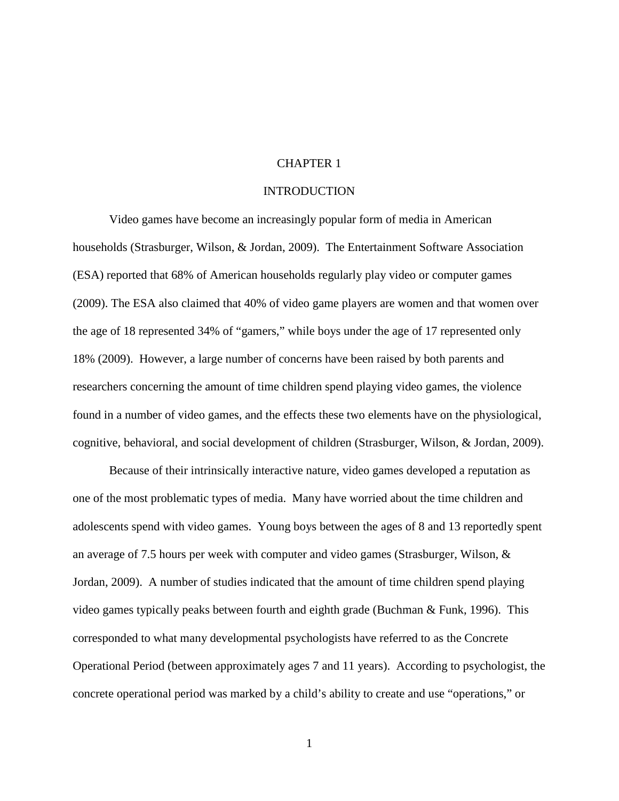#### CHAPTER 1

# **INTRODUCTION**

Video games have become an increasingly popular form of media in American households (Strasburger, Wilson, & Jordan, 2009). The Entertainment Software Association (ESA) reported that 68% of American households regularly play video or computer games (2009). The ESA also claimed that 40% of video game players are women and that women over the age of 18 represented 34% of "gamers," while boys under the age of 17 represented only 18% (2009). However, a large number of concerns have been raised by both parents and researchers concerning the amount of time children spend playing video games, the violence found in a number of video games, and the effects these two elements have on the physiological, cognitive, behavioral, and social development of children (Strasburger, Wilson, & Jordan, 2009).

Because of their intrinsically interactive nature, video games developed a reputation as one of the most problematic types of media. Many have worried about the time children and adolescents spend with video games. Young boys between the ages of 8 and 13 reportedly spent an average of 7.5 hours per week with computer and video games (Strasburger, Wilson, & Jordan, 2009). A number of studies indicated that the amount of time children spend playing video games typically peaks between fourth and eighth grade (Buchman & Funk, 1996). This corresponded to what many developmental psychologists have referred to as the Concrete Operational Period (between approximately ages 7 and 11 years). According to psychologist, the concrete operational period was marked by a child's ability to create and use "operations," or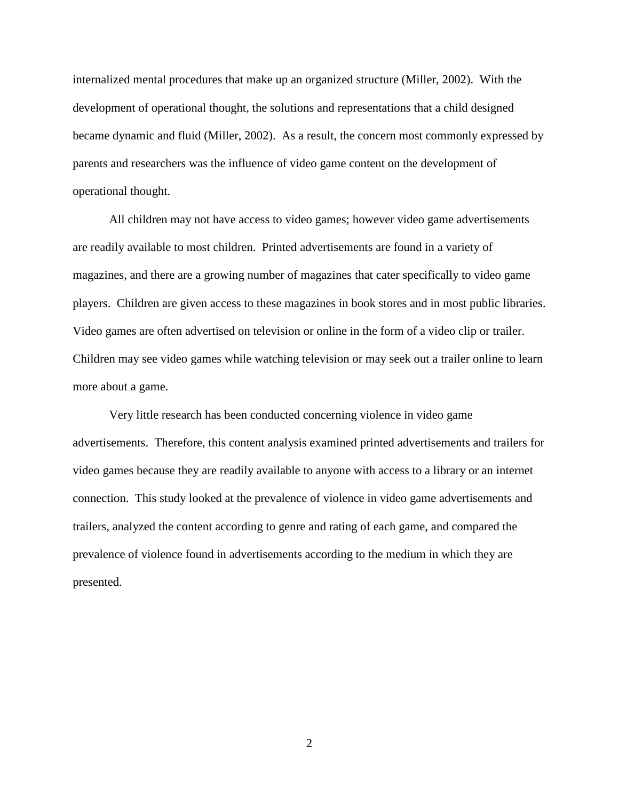internalized mental procedures that make up an organized structure (Miller, 2002). With the development of operational thought, the solutions and representations that a child designed became dynamic and fluid (Miller, 2002). As a result, the concern most commonly expressed by parents and researchers was the influence of video game content on the development of operational thought.

All children may not have access to video games; however video game advertisements are readily available to most children. Printed advertisements are found in a variety of magazines, and there are a growing number of magazines that cater specifically to video game players. Children are given access to these magazines in book stores and in most public libraries. Video games are often advertised on television or online in the form of a video clip or trailer. Children may see video games while watching television or may seek out a trailer online to learn more about a game.

Very little research has been conducted concerning violence in video game advertisements. Therefore, this content analysis examined printed advertisements and trailers for video games because they are readily available to anyone with access to a library or an internet connection. This study looked at the prevalence of violence in video game advertisements and trailers, analyzed the content according to genre and rating of each game, and compared the prevalence of violence found in advertisements according to the medium in which they are presented.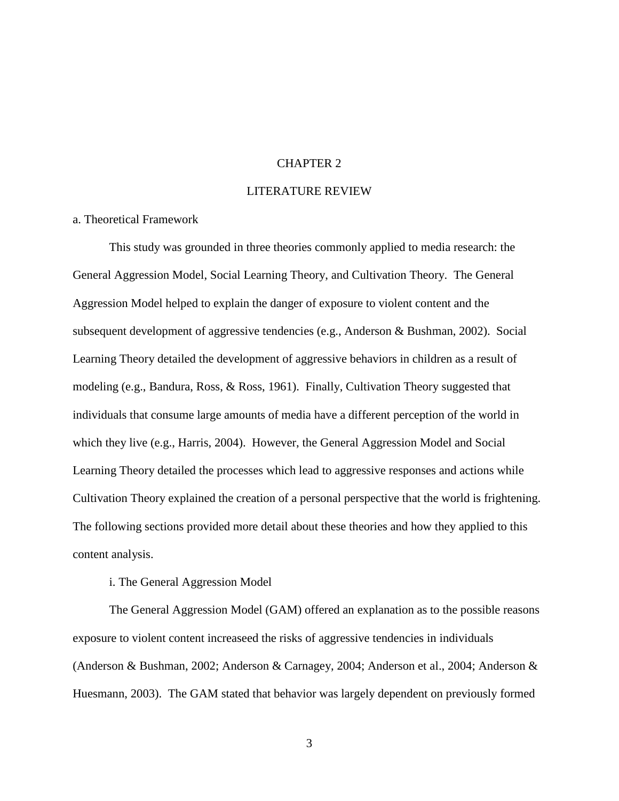#### CHAPTER 2

## LITERATURE REVIEW

# a. Theoretical Framework

This study was grounded in three theories commonly applied to media research: the General Aggression Model, Social Learning Theory, and Cultivation Theory. The General Aggression Model helped to explain the danger of exposure to violent content and the subsequent development of aggressive tendencies (e.g., Anderson & Bushman, 2002). Social Learning Theory detailed the development of aggressive behaviors in children as a result of modeling (e.g., Bandura, Ross, & Ross, 1961). Finally, Cultivation Theory suggested that individuals that consume large amounts of media have a different perception of the world in which they live (e.g., Harris, 2004). However, the General Aggression Model and Social Learning Theory detailed the processes which lead to aggressive responses and actions while Cultivation Theory explained the creation of a personal perspective that the world is frightening. The following sections provided more detail about these theories and how they applied to this content analysis.

#### i. The General Aggression Model

The General Aggression Model (GAM) offered an explanation as to the possible reasons exposure to violent content increaseed the risks of aggressive tendencies in individuals (Anderson & Bushman, 2002; Anderson & Carnagey, 2004; Anderson et al., 2004; Anderson & Huesmann, 2003). The GAM stated that behavior was largely dependent on previously formed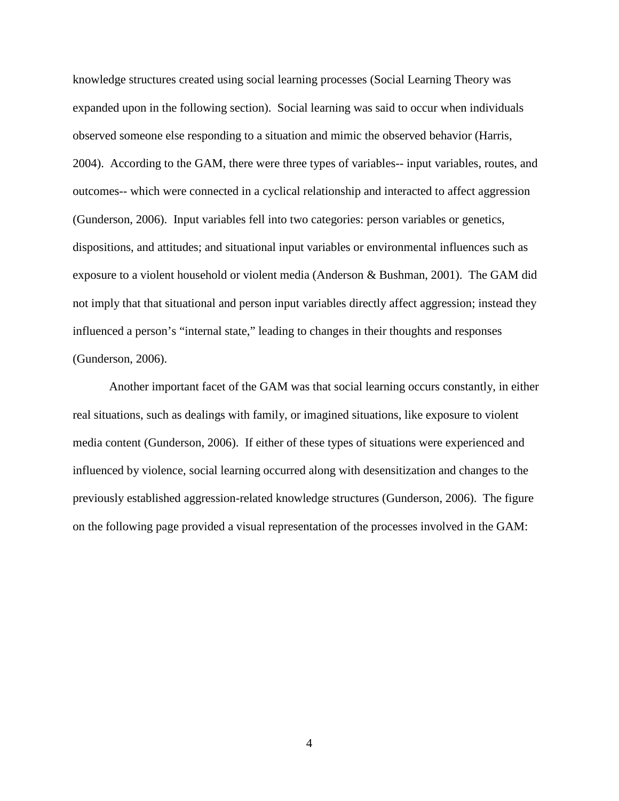knowledge structures created using social learning processes (Social Learning Theory was expanded upon in the following section). Social learning was said to occur when individuals observed someone else responding to a situation and mimic the observed behavior (Harris, 2004). According to the GAM, there were three types of variables-- input variables, routes, and outcomes-- which were connected in a cyclical relationship and interacted to affect aggression (Gunderson, 2006). Input variables fell into two categories: person variables or genetics, dispositions, and attitudes; and situational input variables or environmental influences such as exposure to a violent household or violent media (Anderson & Bushman, 2001). The GAM did not imply that that situational and person input variables directly affect aggression; instead they influenced a person's "internal state," leading to changes in their thoughts and responses (Gunderson, 2006).

Another important facet of the GAM was that social learning occurs constantly, in either real situations, such as dealings with family, or imagined situations, like exposure to violent media content (Gunderson, 2006). If either of these types of situations were experienced and influenced by violence, social learning occurred along with desensitization and changes to the previously established aggression-related knowledge structures (Gunderson, 2006). The figure on the following page provided a visual representation of the processes involved in the GAM: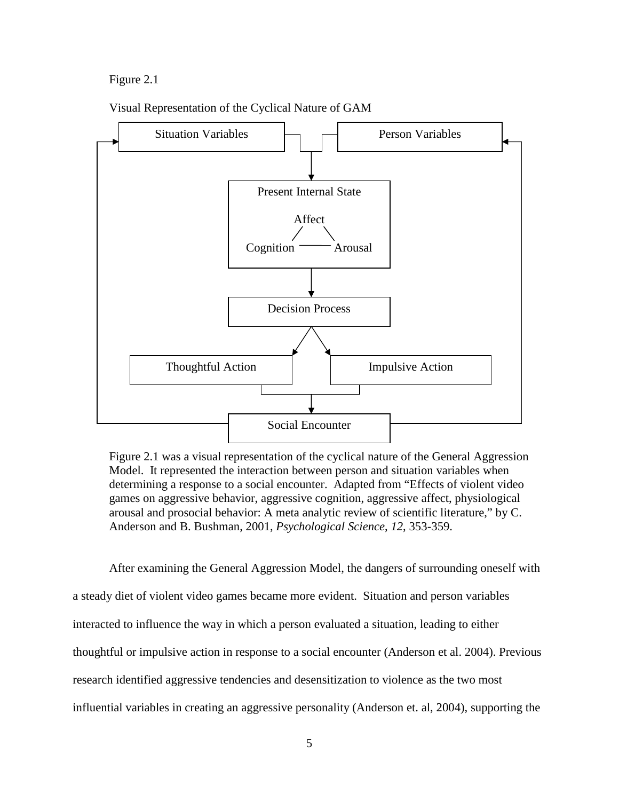## Figure 2.1



Visual Representation of the Cyclical Nature of GAM

Figure 2.1 was a visual representation of the cyclical nature of the General Aggression Model. It represented the interaction between person and situation variables when determining a response to a social encounter. Adapted from "Effects of violent video games on aggressive behavior, aggressive cognition, aggressive affect, physiological arousal and prosocial behavior: A meta analytic review of scientific literature," by C. Anderson and B. Bushman, 2001, *Psychological Science*, *12*, 353-359.

After examining the General Aggression Model, the dangers of surrounding oneself with a steady diet of violent video games became more evident. Situation and person variables interacted to influence the way in which a person evaluated a situation, leading to either thoughtful or impulsive action in response to a social encounter (Anderson et al. 2004). Previous research identified aggressive tendencies and desensitization to violence as the two most influential variables in creating an aggressive personality (Anderson et. al, 2004), supporting the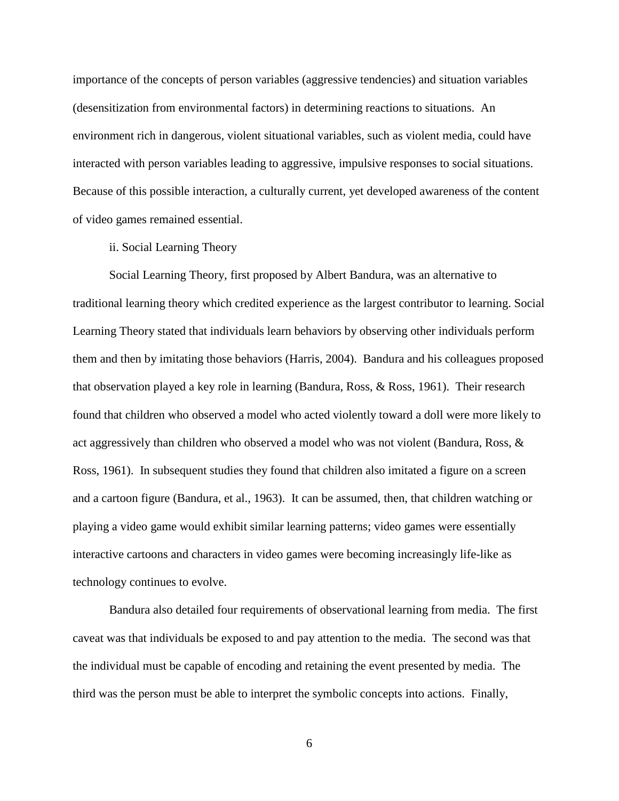importance of the concepts of person variables (aggressive tendencies) and situation variables (desensitization from environmental factors) in determining reactions to situations. An environment rich in dangerous, violent situational variables, such as violent media, could have interacted with person variables leading to aggressive, impulsive responses to social situations. Because of this possible interaction, a culturally current, yet developed awareness of the content of video games remained essential.

ii. Social Learning Theory

Social Learning Theory, first proposed by Albert Bandura, was an alternative to traditional learning theory which credited experience as the largest contributor to learning. Social Learning Theory stated that individuals learn behaviors by observing other individuals perform them and then by imitating those behaviors (Harris, 2004). Bandura and his colleagues proposed that observation played a key role in learning (Bandura, Ross, & Ross, 1961). Their research found that children who observed a model who acted violently toward a doll were more likely to act aggressively than children who observed a model who was not violent (Bandura, Ross, & Ross, 1961). In subsequent studies they found that children also imitated a figure on a screen and a cartoon figure (Bandura, et al., 1963). It can be assumed, then, that children watching or playing a video game would exhibit similar learning patterns; video games were essentially interactive cartoons and characters in video games were becoming increasingly life-like as technology continues to evolve.

Bandura also detailed four requirements of observational learning from media. The first caveat was that individuals be exposed to and pay attention to the media. The second was that the individual must be capable of encoding and retaining the event presented by media. The third was the person must be able to interpret the symbolic concepts into actions. Finally,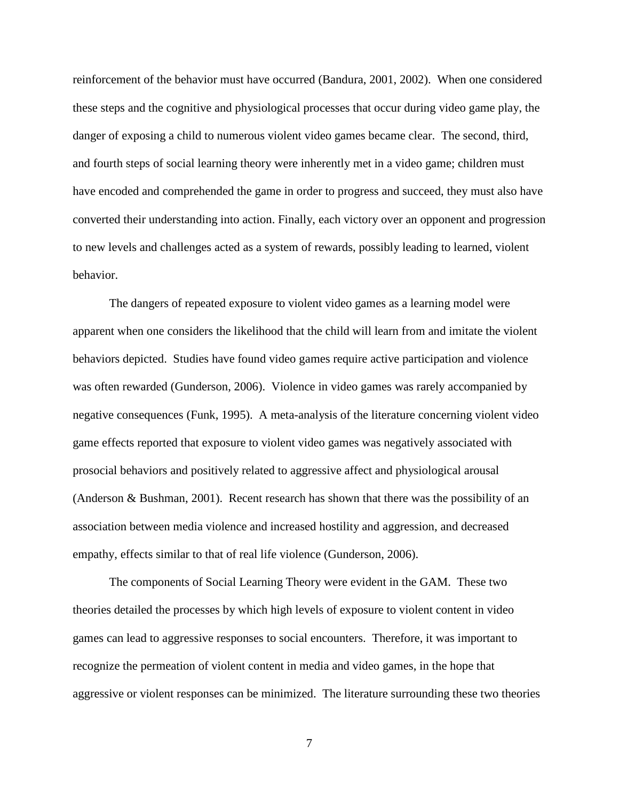reinforcement of the behavior must have occurred (Bandura, 2001, 2002). When one considered these steps and the cognitive and physiological processes that occur during video game play, the danger of exposing a child to numerous violent video games became clear. The second, third, and fourth steps of social learning theory were inherently met in a video game; children must have encoded and comprehended the game in order to progress and succeed, they must also have converted their understanding into action. Finally, each victory over an opponent and progression to new levels and challenges acted as a system of rewards, possibly leading to learned, violent behavior.

The dangers of repeated exposure to violent video games as a learning model were apparent when one considers the likelihood that the child will learn from and imitate the violent behaviors depicted. Studies have found video games require active participation and violence was often rewarded (Gunderson, 2006). Violence in video games was rarely accompanied by negative consequences (Funk, 1995). A meta-analysis of the literature concerning violent video game effects reported that exposure to violent video games was negatively associated with prosocial behaviors and positively related to aggressive affect and physiological arousal (Anderson & Bushman, 2001). Recent research has shown that there was the possibility of an association between media violence and increased hostility and aggression, and decreased empathy, effects similar to that of real life violence (Gunderson, 2006).

The components of Social Learning Theory were evident in the GAM. These two theories detailed the processes by which high levels of exposure to violent content in video games can lead to aggressive responses to social encounters. Therefore, it was important to recognize the permeation of violent content in media and video games, in the hope that aggressive or violent responses can be minimized. The literature surrounding these two theories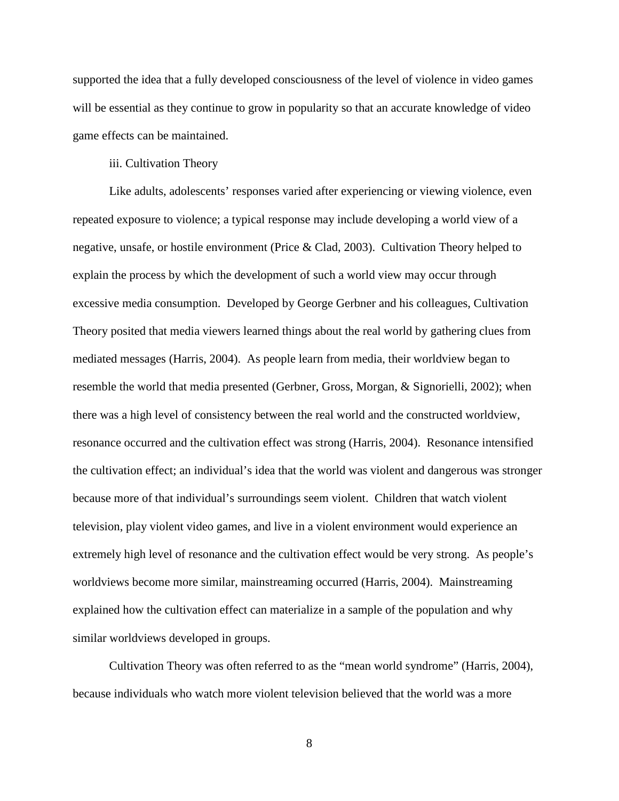supported the idea that a fully developed consciousness of the level of violence in video games will be essential as they continue to grow in popularity so that an accurate knowledge of video game effects can be maintained.

## iii. Cultivation Theory

Like adults, adolescents' responses varied after experiencing or viewing violence, even repeated exposure to violence; a typical response may include developing a world view of a negative, unsafe, or hostile environment (Price & Clad, 2003). Cultivation Theory helped to explain the process by which the development of such a world view may occur through excessive media consumption. Developed by George Gerbner and his colleagues, Cultivation Theory posited that media viewers learned things about the real world by gathering clues from mediated messages (Harris, 2004). As people learn from media, their worldview began to resemble the world that media presented (Gerbner, Gross, Morgan, & Signorielli, 2002); when there was a high level of consistency between the real world and the constructed worldview, resonance occurred and the cultivation effect was strong (Harris, 2004). Resonance intensified the cultivation effect; an individual's idea that the world was violent and dangerous was stronger because more of that individual's surroundings seem violent. Children that watch violent television, play violent video games, and live in a violent environment would experience an extremely high level of resonance and the cultivation effect would be very strong. As people's worldviews become more similar, mainstreaming occurred (Harris, 2004). Mainstreaming explained how the cultivation effect can materialize in a sample of the population and why similar worldviews developed in groups.

Cultivation Theory was often referred to as the "mean world syndrome" (Harris, 2004), because individuals who watch more violent television believed that the world was a more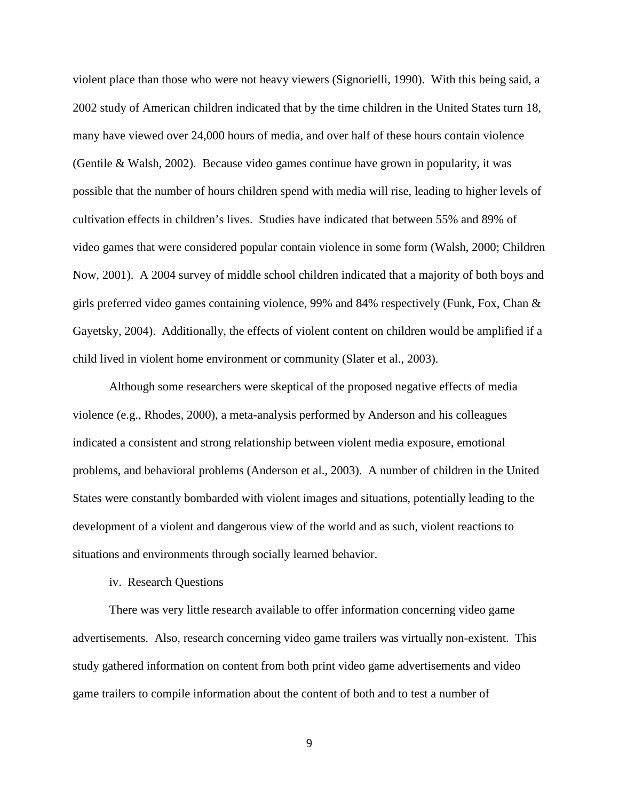violent place than those who were not heavy viewers (Signorielli, 1990). With this being said, a 2002 study of American children indicated that by the time children in the United States turn 18, many have viewed over 24,000 hours of media, and over half of these hours contain violence (Gentile & Walsh, 2002). Because video games continue have grown in popularity, it was possible that the number of hours children spend with media will rise, leading to higher levels of cultivation effects in children's lives. Studies have indicated that between 55% and 89% of video games that were considered popular contain violence in some form (Walsh, 2000; Children Now, 2001). A 2004 survey of middle school children indicated that a majority of both boys and girls preferred video games containing violence, 99% and 84% respectively (Funk, Fox, Chan & Gayetsky, 2004). Additionally, the effects of violent content on children would be amplified if a child lived in violent home environment or community (Slater et al., 2003).

Although some researchers were skeptical of the proposed negative effects of media violence (e.g., Rhodes, 2000), a meta-analysis performed by Anderson and his colleagues indicated a consistent and strong relationship between violent media exposure, emotional problems, and behavioral problems (Anderson et al., 2003). A number of children in the United States were constantly bombarded with violent images and situations, potentially leading to the development of a violent and dangerous view of the world and as such, violent reactions to situations and environments through socially learned behavior.

#### iv. Research Questions

There was very little research available to offer information concerning video game advertisements. Also, research concerning video game trailers was virtually non-existent. This study gathered information on content from both print video game advertisements and video game trailers to compile information about the content of both and to test a number of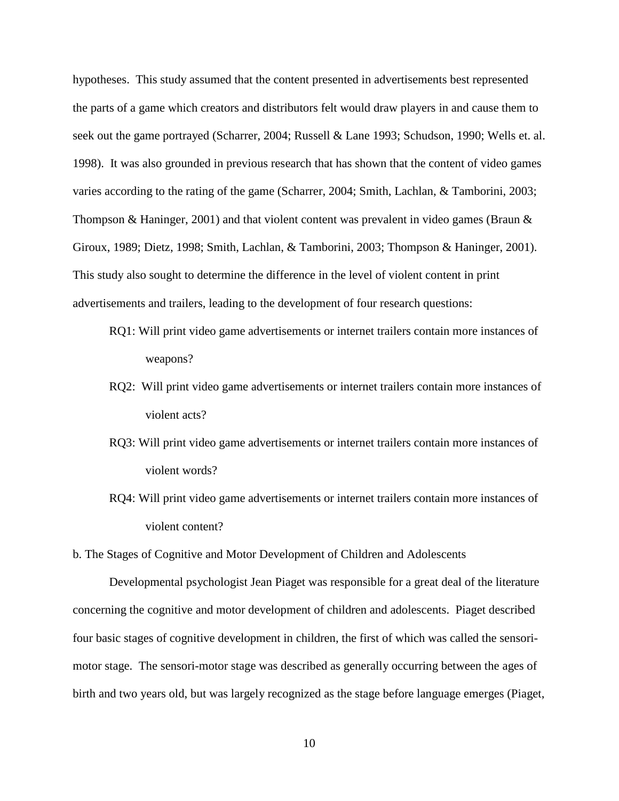hypotheses. This study assumed that the content presented in advertisements best represented the parts of a game which creators and distributors felt would draw players in and cause them to seek out the game portrayed (Scharrer, 2004; Russell & Lane 1993; Schudson, 1990; Wells et. al. 1998). It was also grounded in previous research that has shown that the content of video games varies according to the rating of the game (Scharrer, 2004; Smith, Lachlan, & Tamborini, 2003; Thompson & Haninger, 2001) and that violent content was prevalent in video games (Braun  $\&$ Giroux, 1989; Dietz, 1998; Smith, Lachlan, & Tamborini, 2003; Thompson & Haninger, 2001). This study also sought to determine the difference in the level of violent content in print advertisements and trailers, leading to the development of four research questions:

- RQ1: Will print video game advertisements or internet trailers contain more instances of weapons?
- RQ2: Will print video game advertisements or internet trailers contain more instances of violent acts?
- RQ3: Will print video game advertisements or internet trailers contain more instances of violent words?
- RQ4: Will print video game advertisements or internet trailers contain more instances of violent content?

b. The Stages of Cognitive and Motor Development of Children and Adolescents

Developmental psychologist Jean Piaget was responsible for a great deal of the literature concerning the cognitive and motor development of children and adolescents. Piaget described four basic stages of cognitive development in children, the first of which was called the sensorimotor stage. The sensori-motor stage was described as generally occurring between the ages of birth and two years old, but was largely recognized as the stage before language emerges (Piaget,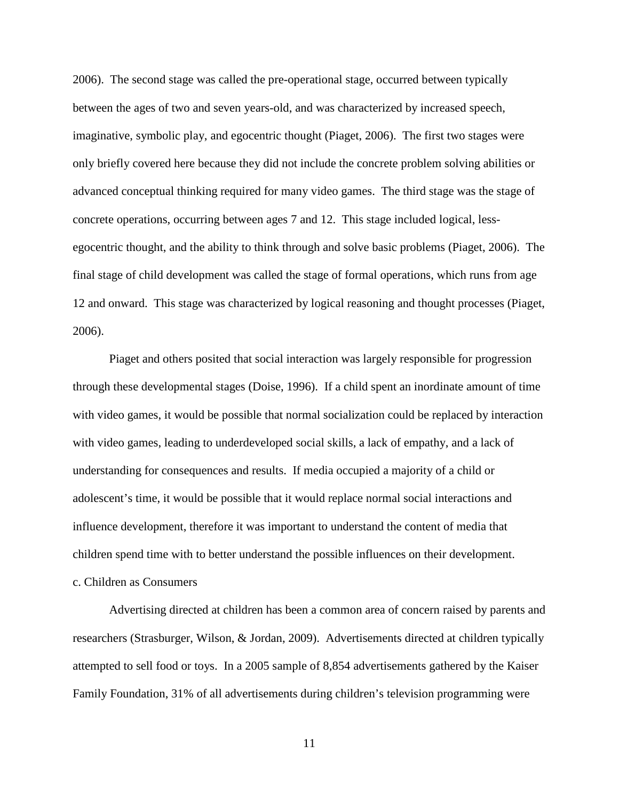2006). The second stage was called the pre-operational stage, occurred between typically between the ages of two and seven years-old, and was characterized by increased speech, imaginative, symbolic play, and egocentric thought (Piaget, 2006). The first two stages were only briefly covered here because they did not include the concrete problem solving abilities or advanced conceptual thinking required for many video games. The third stage was the stage of concrete operations, occurring between ages 7 and 12. This stage included logical, lessegocentric thought, and the ability to think through and solve basic problems (Piaget, 2006). The final stage of child development was called the stage of formal operations, which runs from age 12 and onward. This stage was characterized by logical reasoning and thought processes (Piaget, 2006).

Piaget and others posited that social interaction was largely responsible for progression through these developmental stages (Doise, 1996). If a child spent an inordinate amount of time with video games, it would be possible that normal socialization could be replaced by interaction with video games, leading to underdeveloped social skills, a lack of empathy, and a lack of understanding for consequences and results. If media occupied a majority of a child or adolescent's time, it would be possible that it would replace normal social interactions and influence development, therefore it was important to understand the content of media that children spend time with to better understand the possible influences on their development. c. Children as Consumers

Advertising directed at children has been a common area of concern raised by parents and researchers (Strasburger, Wilson, & Jordan, 2009). Advertisements directed at children typically attempted to sell food or toys. In a 2005 sample of 8,854 advertisements gathered by the Kaiser Family Foundation, 31% of all advertisements during children's television programming were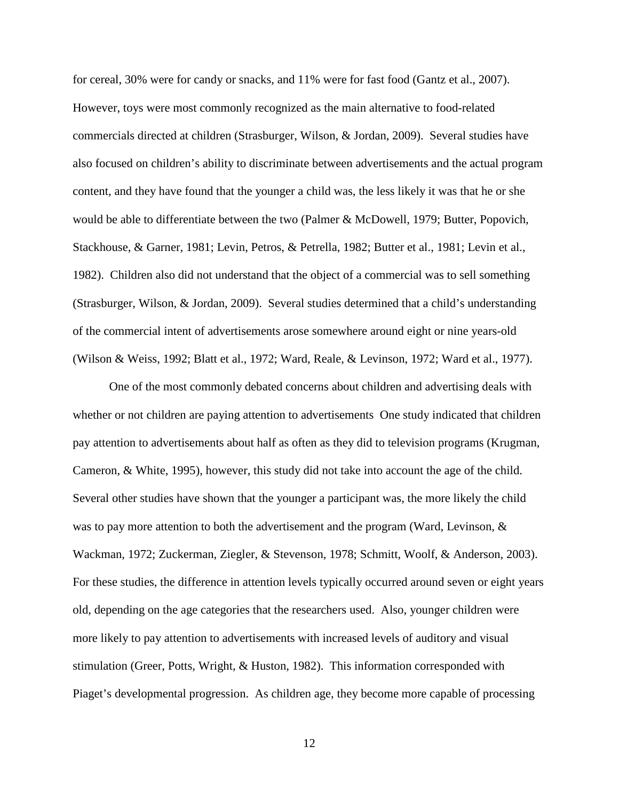for cereal, 30% were for candy or snacks, and 11% were for fast food (Gantz et al., 2007). However, toys were most commonly recognized as the main alternative to food-related commercials directed at children (Strasburger, Wilson, & Jordan, 2009). Several studies have also focused on children's ability to discriminate between advertisements and the actual program content, and they have found that the younger a child was, the less likely it was that he or she would be able to differentiate between the two (Palmer & McDowell, 1979; Butter, Popovich, Stackhouse, & Garner, 1981; Levin, Petros, & Petrella, 1982; Butter et al., 1981; Levin et al., 1982). Children also did not understand that the object of a commercial was to sell something (Strasburger, Wilson, & Jordan, 2009). Several studies determined that a child's understanding of the commercial intent of advertisements arose somewhere around eight or nine years-old (Wilson & Weiss, 1992; Blatt et al., 1972; Ward, Reale, & Levinson, 1972; Ward et al., 1977).

One of the most commonly debated concerns about children and advertising deals with whether or not children are paying attention to advertisements One study indicated that children pay attention to advertisements about half as often as they did to television programs (Krugman, Cameron, & White, 1995), however, this study did not take into account the age of the child. Several other studies have shown that the younger a participant was, the more likely the child was to pay more attention to both the advertisement and the program (Ward, Levinson, & Wackman, 1972; Zuckerman, Ziegler, & Stevenson, 1978; Schmitt, Woolf, & Anderson, 2003). For these studies, the difference in attention levels typically occurred around seven or eight years old, depending on the age categories that the researchers used. Also, younger children were more likely to pay attention to advertisements with increased levels of auditory and visual stimulation (Greer, Potts, Wright, & Huston, 1982). This information corresponded with Piaget's developmental progression. As children age, they become more capable of processing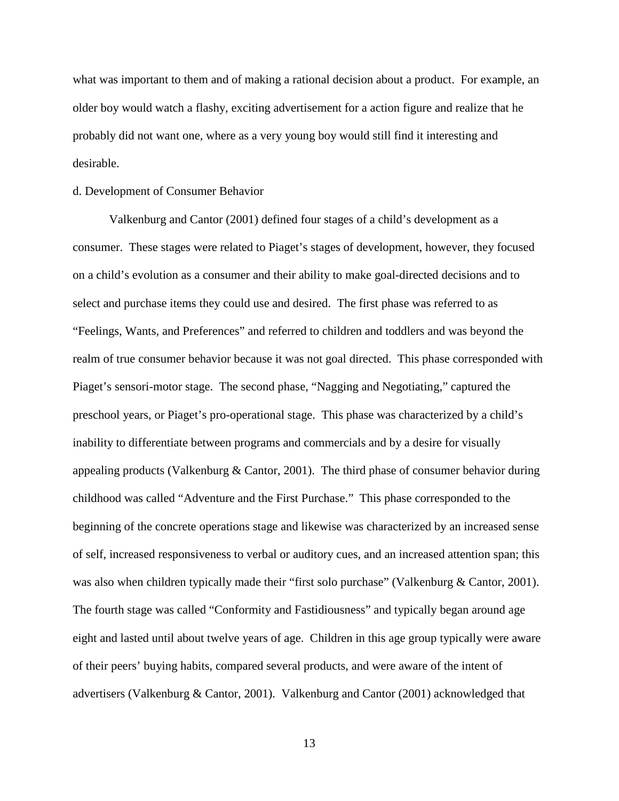what was important to them and of making a rational decision about a product. For example, an older boy would watch a flashy, exciting advertisement for a action figure and realize that he probably did not want one, where as a very young boy would still find it interesting and desirable.

## d. Development of Consumer Behavior

Valkenburg and Cantor (2001) defined four stages of a child's development as a consumer. These stages were related to Piaget's stages of development, however, they focused on a child's evolution as a consumer and their ability to make goal-directed decisions and to select and purchase items they could use and desired. The first phase was referred to as "Feelings, Wants, and Preferences" and referred to children and toddlers and was beyond the realm of true consumer behavior because it was not goal directed. This phase corresponded with Piaget's sensori-motor stage. The second phase, "Nagging and Negotiating," captured the preschool years, or Piaget's pro-operational stage. This phase was characterized by a child's inability to differentiate between programs and commercials and by a desire for visually appealing products (Valkenburg & Cantor, 2001). The third phase of consumer behavior during childhood was called "Adventure and the First Purchase." This phase corresponded to the beginning of the concrete operations stage and likewise was characterized by an increased sense of self, increased responsiveness to verbal or auditory cues, and an increased attention span; this was also when children typically made their "first solo purchase" (Valkenburg & Cantor, 2001). The fourth stage was called "Conformity and Fastidiousness" and typically began around age eight and lasted until about twelve years of age. Children in this age group typically were aware of their peers' buying habits, compared several products, and were aware of the intent of advertisers (Valkenburg & Cantor, 2001). Valkenburg and Cantor (2001) acknowledged that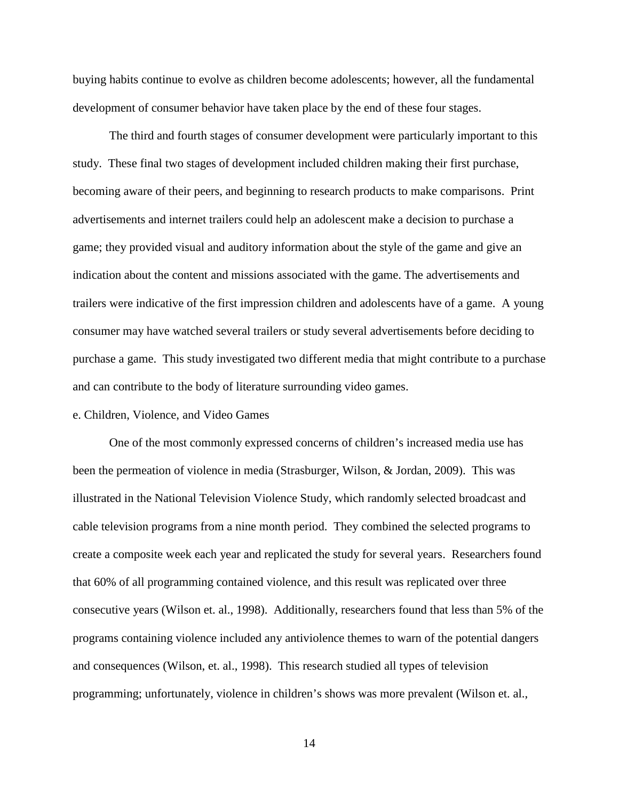buying habits continue to evolve as children become adolescents; however, all the fundamental development of consumer behavior have taken place by the end of these four stages.

The third and fourth stages of consumer development were particularly important to this study. These final two stages of development included children making their first purchase, becoming aware of their peers, and beginning to research products to make comparisons. Print advertisements and internet trailers could help an adolescent make a decision to purchase a game; they provided visual and auditory information about the style of the game and give an indication about the content and missions associated with the game. The advertisements and trailers were indicative of the first impression children and adolescents have of a game. A young consumer may have watched several trailers or study several advertisements before deciding to purchase a game. This study investigated two different media that might contribute to a purchase and can contribute to the body of literature surrounding video games.

### e. Children, Violence, and Video Games

One of the most commonly expressed concerns of children's increased media use has been the permeation of violence in media (Strasburger, Wilson, & Jordan, 2009). This was illustrated in the National Television Violence Study, which randomly selected broadcast and cable television programs from a nine month period. They combined the selected programs to create a composite week each year and replicated the study for several years. Researchers found that 60% of all programming contained violence, and this result was replicated over three consecutive years (Wilson et. al., 1998). Additionally, researchers found that less than 5% of the programs containing violence included any antiviolence themes to warn of the potential dangers and consequences (Wilson, et. al., 1998). This research studied all types of television programming; unfortunately, violence in children's shows was more prevalent (Wilson et. al.,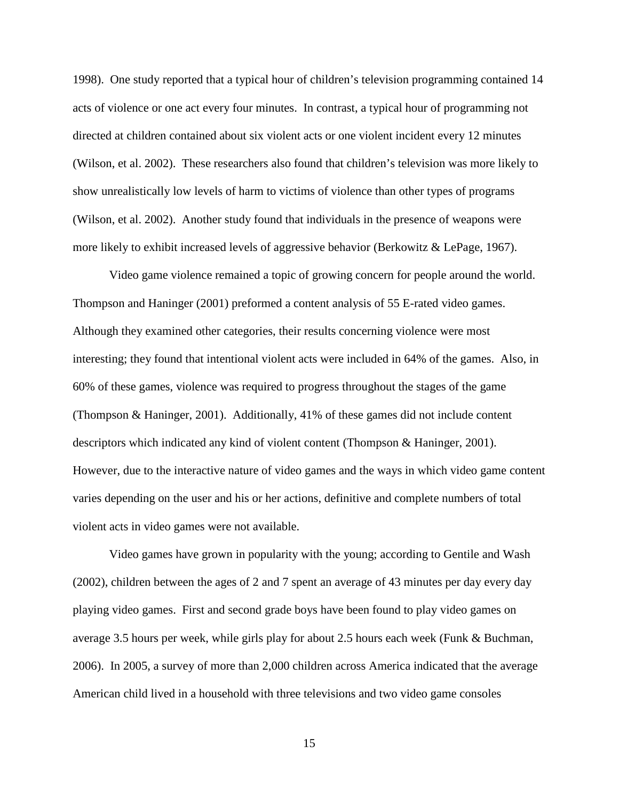1998). One study reported that a typical hour of children's television programming contained 14 acts of violence or one act every four minutes. In contrast, a typical hour of programming not directed at children contained about six violent acts or one violent incident every 12 minutes (Wilson, et al. 2002). These researchers also found that children's television was more likely to show unrealistically low levels of harm to victims of violence than other types of programs (Wilson, et al. 2002). Another study found that individuals in the presence of weapons were more likely to exhibit increased levels of aggressive behavior (Berkowitz & LePage, 1967).

Video game violence remained a topic of growing concern for people around the world. Thompson and Haninger (2001) preformed a content analysis of 55 E-rated video games. Although they examined other categories, their results concerning violence were most interesting; they found that intentional violent acts were included in 64% of the games. Also, in 60% of these games, violence was required to progress throughout the stages of the game (Thompson & Haninger, 2001). Additionally, 41% of these games did not include content descriptors which indicated any kind of violent content (Thompson & Haninger, 2001). However, due to the interactive nature of video games and the ways in which video game content varies depending on the user and his or her actions, definitive and complete numbers of total violent acts in video games were not available.

Video games have grown in popularity with the young; according to Gentile and Wash (2002), children between the ages of 2 and 7 spent an average of 43 minutes per day every day playing video games. First and second grade boys have been found to play video games on average 3.5 hours per week, while girls play for about 2.5 hours each week (Funk & Buchman, 2006). In 2005, a survey of more than 2,000 children across America indicated that the average American child lived in a household with three televisions and two video game consoles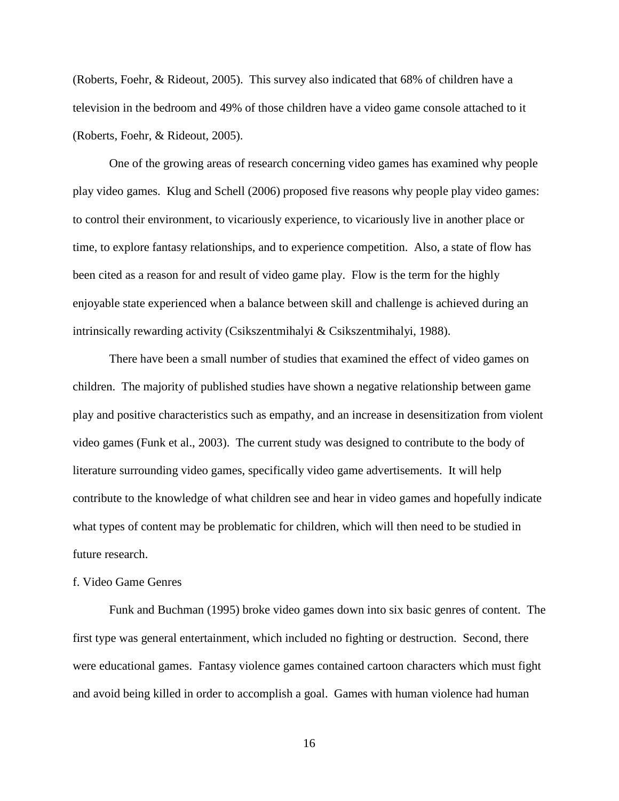(Roberts, Foehr, & Rideout, 2005). This survey also indicated that 68% of children have a television in the bedroom and 49% of those children have a video game console attached to it (Roberts, Foehr, & Rideout, 2005).

One of the growing areas of research concerning video games has examined why people play video games. Klug and Schell (2006) proposed five reasons why people play video games: to control their environment, to vicariously experience, to vicariously live in another place or time, to explore fantasy relationships, and to experience competition. Also, a state of flow has been cited as a reason for and result of video game play. Flow is the term for the highly enjoyable state experienced when a balance between skill and challenge is achieved during an intrinsically rewarding activity (Csikszentmihalyi & Csikszentmihalyi, 1988).

 There have been a small number of studies that examined the effect of video games on children. The majority of published studies have shown a negative relationship between game play and positive characteristics such as empathy, and an increase in desensitization from violent video games (Funk et al., 2003). The current study was designed to contribute to the body of literature surrounding video games, specifically video game advertisements. It will help contribute to the knowledge of what children see and hear in video games and hopefully indicate what types of content may be problematic for children, which will then need to be studied in future research.

#### f. Video Game Genres

Funk and Buchman (1995) broke video games down into six basic genres of content. The first type was general entertainment, which included no fighting or destruction. Second, there were educational games. Fantasy violence games contained cartoon characters which must fight and avoid being killed in order to accomplish a goal. Games with human violence had human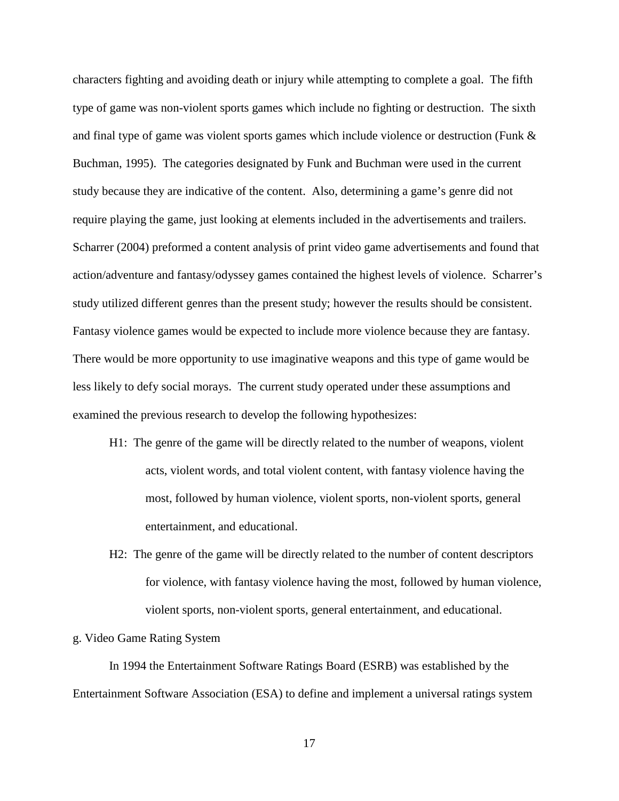characters fighting and avoiding death or injury while attempting to complete a goal. The fifth type of game was non-violent sports games which include no fighting or destruction. The sixth and final type of game was violent sports games which include violence or destruction (Funk & Buchman, 1995). The categories designated by Funk and Buchman were used in the current study because they are indicative of the content. Also, determining a game's genre did not require playing the game, just looking at elements included in the advertisements and trailers. Scharrer (2004) preformed a content analysis of print video game advertisements and found that action/adventure and fantasy/odyssey games contained the highest levels of violence. Scharrer's study utilized different genres than the present study; however the results should be consistent. Fantasy violence games would be expected to include more violence because they are fantasy. There would be more opportunity to use imaginative weapons and this type of game would be less likely to defy social morays. The current study operated under these assumptions and examined the previous research to develop the following hypothesizes:

- H1: The genre of the game will be directly related to the number of weapons, violent acts, violent words, and total violent content, with fantasy violence having the most, followed by human violence, violent sports, non-violent sports, general entertainment, and educational.
- H2: The genre of the game will be directly related to the number of content descriptors for violence, with fantasy violence having the most, followed by human violence, violent sports, non-violent sports, general entertainment, and educational.

### g. Video Game Rating System

In 1994 the Entertainment Software Ratings Board (ESRB) was established by the Entertainment Software Association (ESA) to define and implement a universal ratings system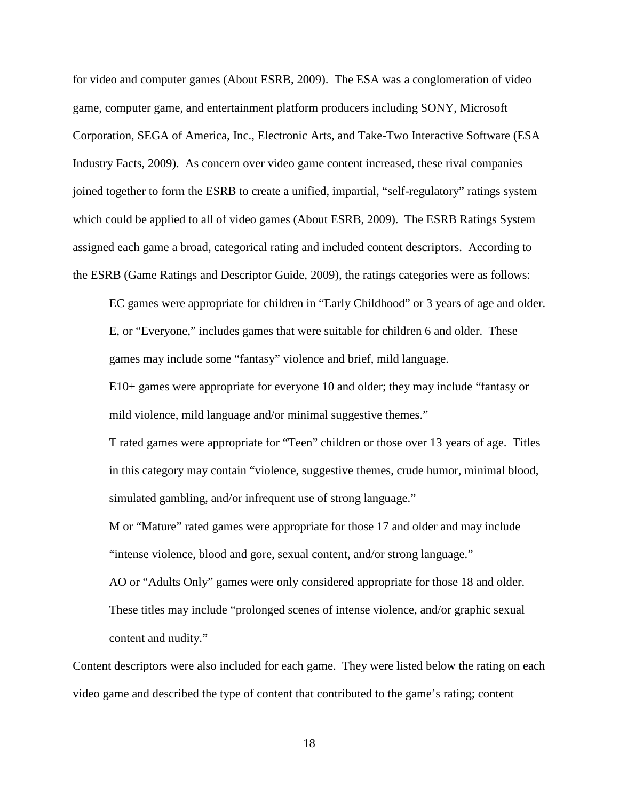for video and computer games (About ESRB, 2009). The ESA was a conglomeration of video game, computer game, and entertainment platform producers including SONY, Microsoft Corporation, SEGA of America, Inc., Electronic Arts, and Take-Two Interactive Software (ESA Industry Facts, 2009). As concern over video game content increased, these rival companies joined together to form the ESRB to create a unified, impartial, "self-regulatory" ratings system which could be applied to all of video games (About ESRB, 2009). The ESRB Ratings System assigned each game a broad, categorical rating and included content descriptors. According to the ESRB (Game Ratings and Descriptor Guide, 2009), the ratings categories were as follows:

EC games were appropriate for children in "Early Childhood" or 3 years of age and older. E, or "Everyone," includes games that were suitable for children 6 and older. These games may include some "fantasy" violence and brief, mild language.

E10+ games were appropriate for everyone 10 and older; they may include "fantasy or mild violence, mild language and/or minimal suggestive themes."

T rated games were appropriate for "Teen" children or those over 13 years of age. Titles in this category may contain "violence, suggestive themes, crude humor, minimal blood, simulated gambling, and/or infrequent use of strong language."

M or "Mature" rated games were appropriate for those 17 and older and may include "intense violence, blood and gore, sexual content, and/or strong language."

AO or "Adults Only" games were only considered appropriate for those 18 and older. These titles may include "prolonged scenes of intense violence, and/or graphic sexual content and nudity."

Content descriptors were also included for each game. They were listed below the rating on each video game and described the type of content that contributed to the game's rating; content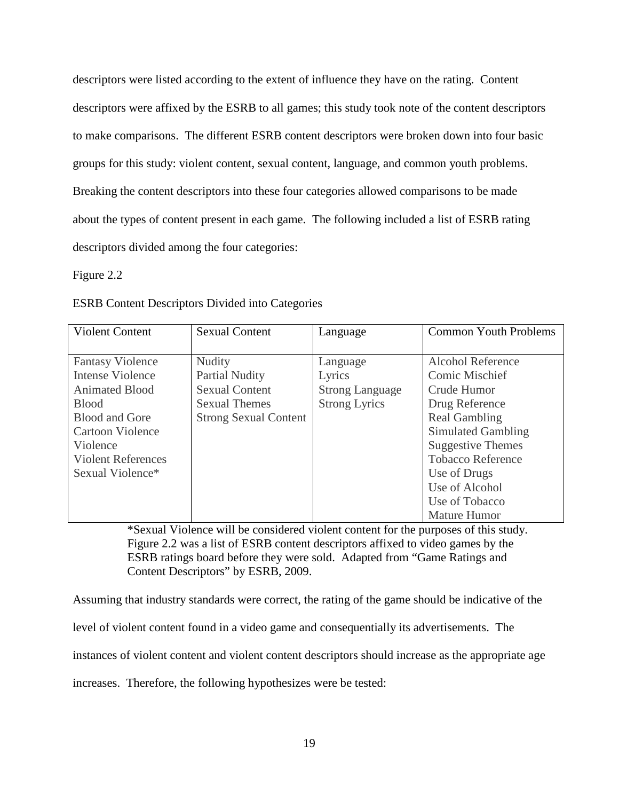descriptors were listed according to the extent of influence they have on the rating. Content descriptors were affixed by the ESRB to all games; this study took note of the content descriptors to make comparisons. The different ESRB content descriptors were broken down into four basic groups for this study: violent content, sexual content, language, and common youth problems. Breaking the content descriptors into these four categories allowed comparisons to be made about the types of content present in each game. The following included a list of ESRB rating descriptors divided among the four categories:

Figure 2.2

ESRB Content Descriptors Divided into Categories

| <b>Violent Content</b>    | <b>Sexual Content</b>        | Language               | <b>Common Youth Problems</b> |
|---------------------------|------------------------------|------------------------|------------------------------|
|                           |                              |                        |                              |
| <b>Fantasy Violence</b>   | <b>Nudity</b>                | Language               | <b>Alcohol Reference</b>     |
| Intense Violence          | <b>Partial Nudity</b>        | Lyrics                 | <b>Comic Mischief</b>        |
| <b>Animated Blood</b>     | <b>Sexual Content</b>        | <b>Strong Language</b> | Crude Humor                  |
| <b>Blood</b>              | <b>Sexual Themes</b>         | <b>Strong Lyrics</b>   | Drug Reference               |
| <b>Blood and Gore</b>     | <b>Strong Sexual Content</b> |                        | <b>Real Gambling</b>         |
| <b>Cartoon Violence</b>   |                              |                        | Simulated Gambling           |
| Violence                  |                              |                        | <b>Suggestive Themes</b>     |
| <b>Violent References</b> |                              |                        | <b>Tobacco Reference</b>     |
| Sexual Violence*          |                              |                        | Use of Drugs                 |
|                           |                              |                        | Use of Alcohol               |
|                           |                              |                        | Use of Tobacco               |
|                           |                              |                        | <b>Mature Humor</b>          |

\*Sexual Violence will be considered violent content for the purposes of this study. Figure 2.2 was a list of ESRB content descriptors affixed to video games by the ESRB ratings board before they were sold. Adapted from "Game Ratings and Content Descriptors" by ESRB, 2009.

Assuming that industry standards were correct, the rating of the game should be indicative of the

level of violent content found in a video game and consequentially its advertisements. The

instances of violent content and violent content descriptors should increase as the appropriate age

increases. Therefore, the following hypothesizes were be tested: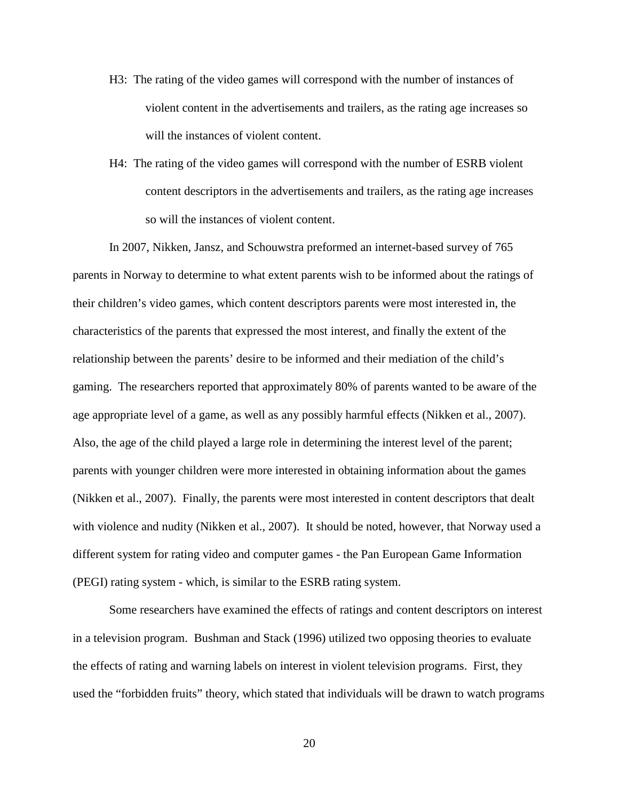- H3: The rating of the video games will correspond with the number of instances of violent content in the advertisements and trailers, as the rating age increases so will the instances of violent content.
- H4: The rating of the video games will correspond with the number of ESRB violent content descriptors in the advertisements and trailers, as the rating age increases so will the instances of violent content.

In 2007, Nikken, Jansz, and Schouwstra preformed an internet-based survey of 765 parents in Norway to determine to what extent parents wish to be informed about the ratings of their children's video games, which content descriptors parents were most interested in, the characteristics of the parents that expressed the most interest, and finally the extent of the relationship between the parents' desire to be informed and their mediation of the child's gaming. The researchers reported that approximately 80% of parents wanted to be aware of the age appropriate level of a game, as well as any possibly harmful effects (Nikken et al., 2007). Also, the age of the child played a large role in determining the interest level of the parent; parents with younger children were more interested in obtaining information about the games (Nikken et al., 2007). Finally, the parents were most interested in content descriptors that dealt with violence and nudity (Nikken et al., 2007). It should be noted, however, that Norway used a different system for rating video and computer games - the Pan European Game Information (PEGI) rating system - which, is similar to the ESRB rating system.

Some researchers have examined the effects of ratings and content descriptors on interest in a television program. Bushman and Stack (1996) utilized two opposing theories to evaluate the effects of rating and warning labels on interest in violent television programs. First, they used the "forbidden fruits" theory, which stated that individuals will be drawn to watch programs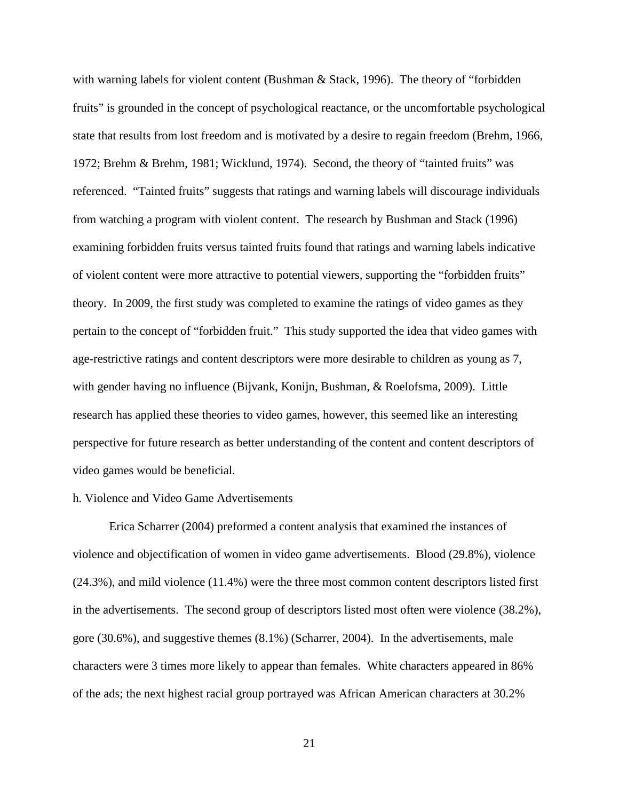with warning labels for violent content (Bushman & Stack, 1996). The theory of "forbidden fruits" is grounded in the concept of psychological reactance, or the uncomfortable psychological state that results from lost freedom and is motivated by a desire to regain freedom (Brehm, 1966, 1972; Brehm & Brehm, 1981; Wicklund, 1974). Second, the theory of "tainted fruits" was referenced. "Tainted fruits" suggests that ratings and warning labels will discourage individuals from watching a program with violent content. The research by Bushman and Stack (1996) examining forbidden fruits versus tainted fruits found that ratings and warning labels indicative of violent content were more attractive to potential viewers, supporting the "forbidden fruits" theory. In 2009, the first study was completed to examine the ratings of video games as they pertain to the concept of "forbidden fruit." This study supported the idea that video games with age-restrictive ratings and content descriptors were more desirable to children as young as 7, with gender having no influence (Bijvank, Konijn, Bushman, & Roelofsma, 2009). Little research has applied these theories to video games, however, this seemed like an interesting perspective for future research as better understanding of the content and content descriptors of video games would be beneficial.

### h. Violence and Video Game Advertisements

Erica Scharrer (2004) preformed a content analysis that examined the instances of violence and objectification of women in video game advertisements. Blood (29.8%), violence (24.3%), and mild violence (11.4%) were the three most common content descriptors listed first in the advertisements. The second group of descriptors listed most often were violence (38.2%), gore (30.6%), and suggestive themes (8.1%) (Scharrer, 2004). In the advertisements, male characters were 3 times more likely to appear than females. White characters appeared in 86% of the ads; the next highest racial group portrayed was African American characters at 30.2%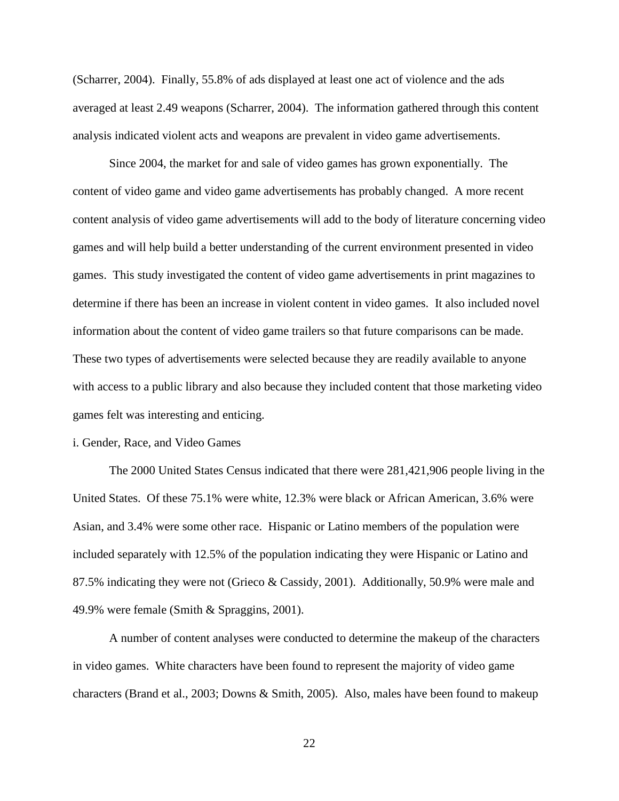(Scharrer, 2004). Finally, 55.8% of ads displayed at least one act of violence and the ads averaged at least 2.49 weapons (Scharrer, 2004). The information gathered through this content analysis indicated violent acts and weapons are prevalent in video game advertisements.

Since 2004, the market for and sale of video games has grown exponentially. The content of video game and video game advertisements has probably changed. A more recent content analysis of video game advertisements will add to the body of literature concerning video games and will help build a better understanding of the current environment presented in video games. This study investigated the content of video game advertisements in print magazines to determine if there has been an increase in violent content in video games. It also included novel information about the content of video game trailers so that future comparisons can be made. These two types of advertisements were selected because they are readily available to anyone with access to a public library and also because they included content that those marketing video games felt was interesting and enticing.

#### i. Gender, Race, and Video Games

The 2000 United States Census indicated that there were 281,421,906 people living in the United States. Of these 75.1% were white, 12.3% were black or African American, 3.6% were Asian, and 3.4% were some other race. Hispanic or Latino members of the population were included separately with 12.5% of the population indicating they were Hispanic or Latino and 87.5% indicating they were not (Grieco & Cassidy, 2001). Additionally, 50.9% were male and 49.9% were female (Smith & Spraggins, 2001).

A number of content analyses were conducted to determine the makeup of the characters in video games. White characters have been found to represent the majority of video game characters (Brand et al., 2003; Downs & Smith, 2005). Also, males have been found to makeup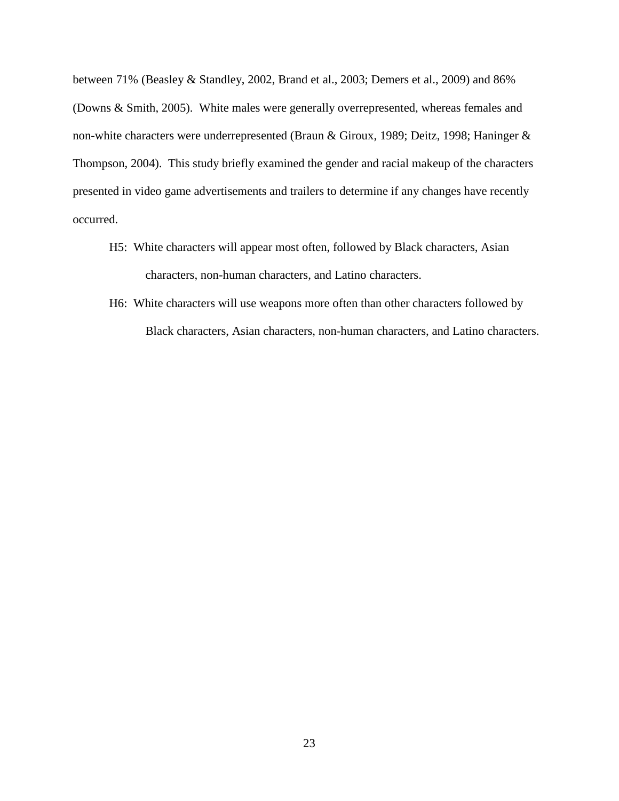between 71% (Beasley & Standley, 2002, Brand et al., 2003; Demers et al., 2009) and 86% (Downs & Smith, 2005). White males were generally overrepresented, whereas females and non-white characters were underrepresented (Braun & Giroux, 1989; Deitz, 1998; Haninger & Thompson, 2004). This study briefly examined the gender and racial makeup of the characters presented in video game advertisements and trailers to determine if any changes have recently occurred.

- H5: White characters will appear most often, followed by Black characters, Asian characters, non-human characters, and Latino characters.
- H6: White characters will use weapons more often than other characters followed by Black characters, Asian characters, non-human characters, and Latino characters.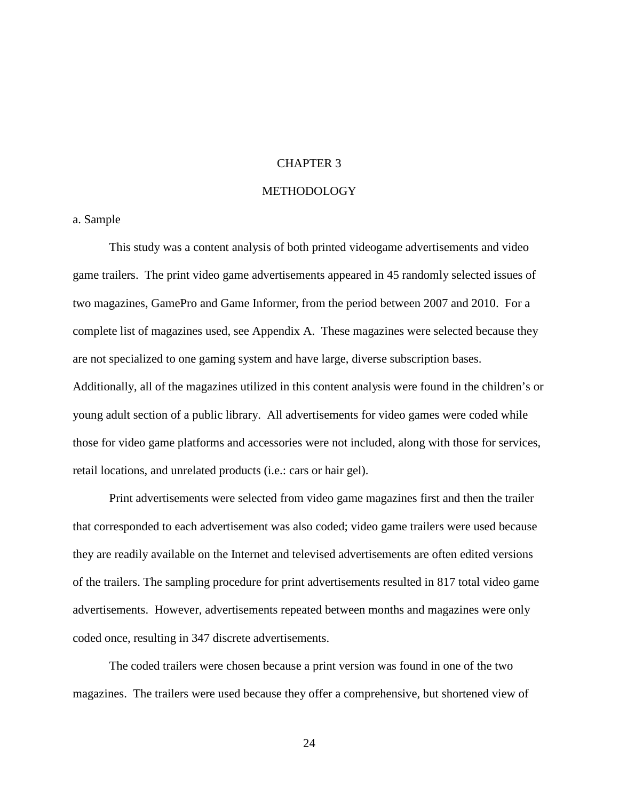### CHAPTER 3

## METHODOLOGY

### a. Sample

This study was a content analysis of both printed videogame advertisements and video game trailers. The print video game advertisements appeared in 45 randomly selected issues of two magazines, GamePro and Game Informer, from the period between 2007 and 2010. For a complete list of magazines used, see Appendix A. These magazines were selected because they are not specialized to one gaming system and have large, diverse subscription bases. Additionally, all of the magazines utilized in this content analysis were found in the children's or young adult section of a public library. All advertisements for video games were coded while those for video game platforms and accessories were not included, along with those for services, retail locations, and unrelated products (i.e.: cars or hair gel).

Print advertisements were selected from video game magazines first and then the trailer that corresponded to each advertisement was also coded; video game trailers were used because they are readily available on the Internet and televised advertisements are often edited versions of the trailers. The sampling procedure for print advertisements resulted in 817 total video game advertisements. However, advertisements repeated between months and magazines were only coded once, resulting in 347 discrete advertisements.

The coded trailers were chosen because a print version was found in one of the two magazines. The trailers were used because they offer a comprehensive, but shortened view of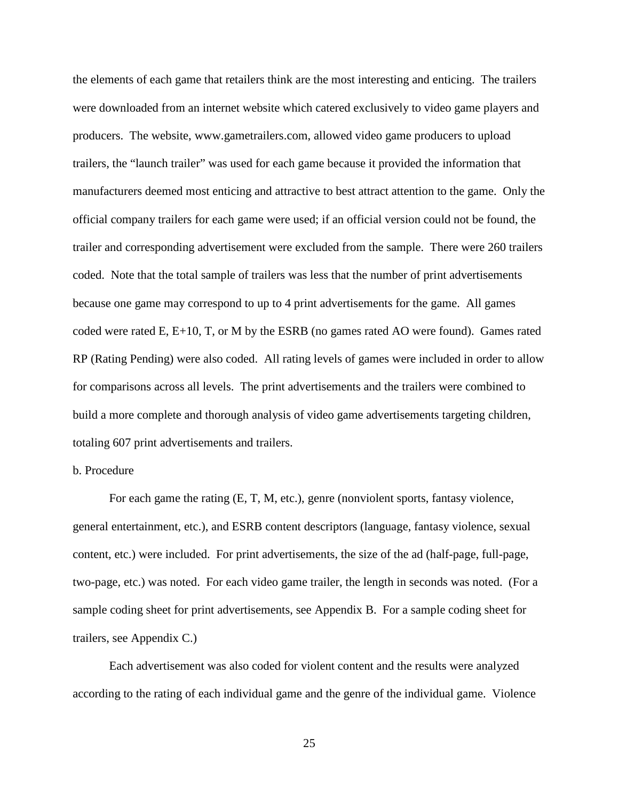the elements of each game that retailers think are the most interesting and enticing. The trailers were downloaded from an internet website which catered exclusively to video game players and producers. The website, www.gametrailers.com, allowed video game producers to upload trailers, the "launch trailer" was used for each game because it provided the information that manufacturers deemed most enticing and attractive to best attract attention to the game. Only the official company trailers for each game were used; if an official version could not be found, the trailer and corresponding advertisement were excluded from the sample. There were 260 trailers coded. Note that the total sample of trailers was less that the number of print advertisements because one game may correspond to up to 4 print advertisements for the game. All games coded were rated E, E+10, T, or M by the ESRB (no games rated AO were found). Games rated RP (Rating Pending) were also coded. All rating levels of games were included in order to allow for comparisons across all levels. The print advertisements and the trailers were combined to build a more complete and thorough analysis of video game advertisements targeting children, totaling 607 print advertisements and trailers.

# b. Procedure

 For each game the rating (E, T, M, etc.), genre (nonviolent sports, fantasy violence, general entertainment, etc.), and ESRB content descriptors (language, fantasy violence, sexual content, etc.) were included. For print advertisements, the size of the ad (half-page, full-page, two-page, etc.) was noted. For each video game trailer, the length in seconds was noted. (For a sample coding sheet for print advertisements, see Appendix B. For a sample coding sheet for trailers, see Appendix C.)

Each advertisement was also coded for violent content and the results were analyzed according to the rating of each individual game and the genre of the individual game. Violence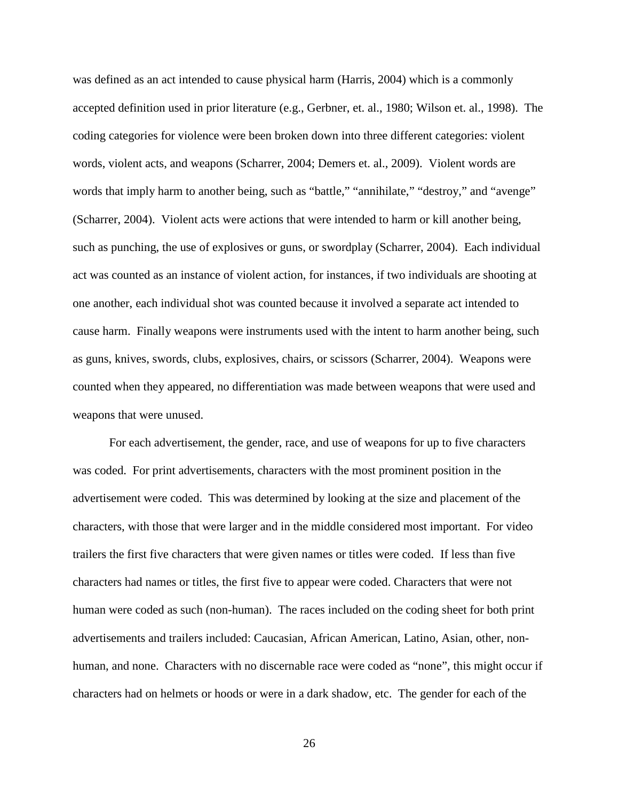was defined as an act intended to cause physical harm (Harris, 2004) which is a commonly accepted definition used in prior literature (e.g., Gerbner, et. al., 1980; Wilson et. al., 1998). The coding categories for violence were been broken down into three different categories: violent words, violent acts, and weapons (Scharrer, 2004; Demers et. al., 2009). Violent words are words that imply harm to another being, such as "battle," "annihilate," "destroy," and "avenge" (Scharrer, 2004). Violent acts were actions that were intended to harm or kill another being, such as punching, the use of explosives or guns, or swordplay (Scharrer, 2004). Each individual act was counted as an instance of violent action, for instances, if two individuals are shooting at one another, each individual shot was counted because it involved a separate act intended to cause harm. Finally weapons were instruments used with the intent to harm another being, such as guns, knives, swords, clubs, explosives, chairs, or scissors (Scharrer, 2004). Weapons were counted when they appeared, no differentiation was made between weapons that were used and weapons that were unused.

For each advertisement, the gender, race, and use of weapons for up to five characters was coded. For print advertisements, characters with the most prominent position in the advertisement were coded. This was determined by looking at the size and placement of the characters, with those that were larger and in the middle considered most important. For video trailers the first five characters that were given names or titles were coded. If less than five characters had names or titles, the first five to appear were coded. Characters that were not human were coded as such (non-human). The races included on the coding sheet for both print advertisements and trailers included: Caucasian, African American, Latino, Asian, other, nonhuman, and none. Characters with no discernable race were coded as "none", this might occur if characters had on helmets or hoods or were in a dark shadow, etc. The gender for each of the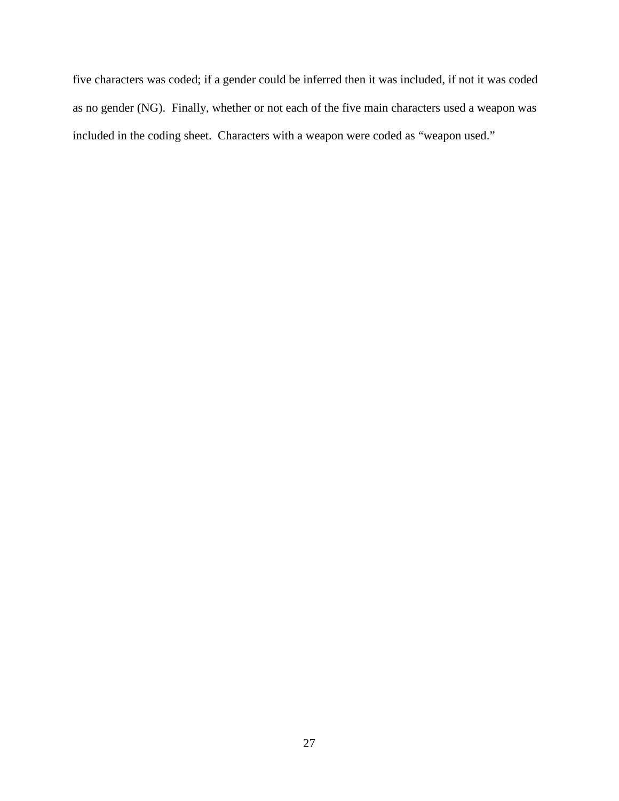five characters was coded; if a gender could be inferred then it was included, if not it was coded as no gender (NG). Finally, whether or not each of the five main characters used a weapon was included in the coding sheet. Characters with a weapon were coded as "weapon used."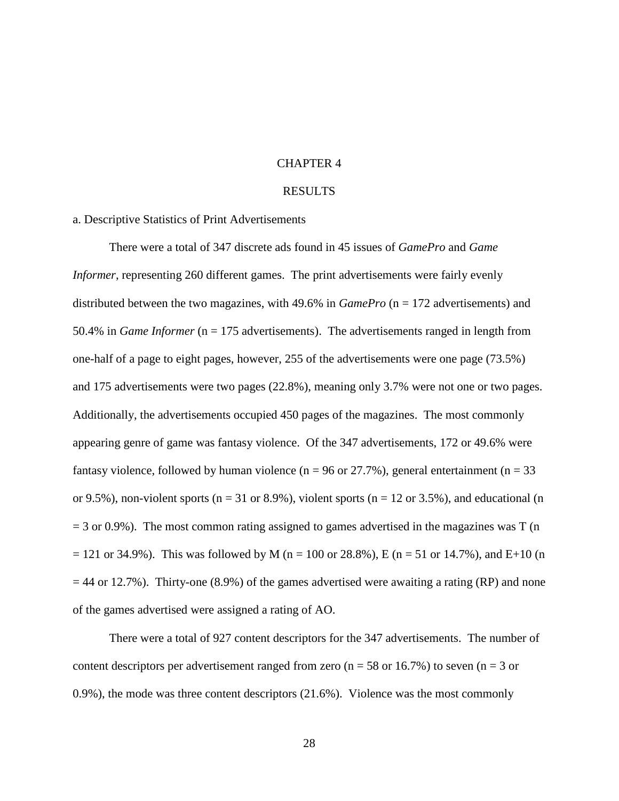#### CHAPTER 4

# RESULTS

## a. Descriptive Statistics of Print Advertisements

There were a total of 347 discrete ads found in 45 issues of *GamePro* and *Game Informer*, representing 260 different games. The print advertisements were fairly evenly distributed between the two magazines, with 49.6% in *GamePro* (n = 172 advertisements) and 50.4% in *Game Informer* (n = 175 advertisements). The advertisements ranged in length from one-half of a page to eight pages, however, 255 of the advertisements were one page (73.5%) and 175 advertisements were two pages (22.8%), meaning only 3.7% were not one or two pages. Additionally, the advertisements occupied 450 pages of the magazines. The most commonly appearing genre of game was fantasy violence. Of the 347 advertisements, 172 or 49.6% were fantasy violence, followed by human violence ( $n = 96$  or 27.7%), general entertainment ( $n = 33$ ) or 9.5%), non-violent sports ( $n = 31$  or 8.9%), violent sports ( $n = 12$  or 3.5%), and educational (n  $=$  3 or 0.9%). The most common rating assigned to games advertised in the magazines was T (n)  $= 121$  or 34.9%). This was followed by M (n = 100 or 28.8%), E (n = 51 or 14.7%), and E+10 (n  $= 44$  or 12.7%). Thirty-one (8.9%) of the games advertised were awaiting a rating (RP) and none of the games advertised were assigned a rating of AO.

There were a total of 927 content descriptors for the 347 advertisements. The number of content descriptors per advertisement ranged from zero ( $n = 58$  or 16.7%) to seven ( $n = 3$  or 0.9%), the mode was three content descriptors (21.6%). Violence was the most commonly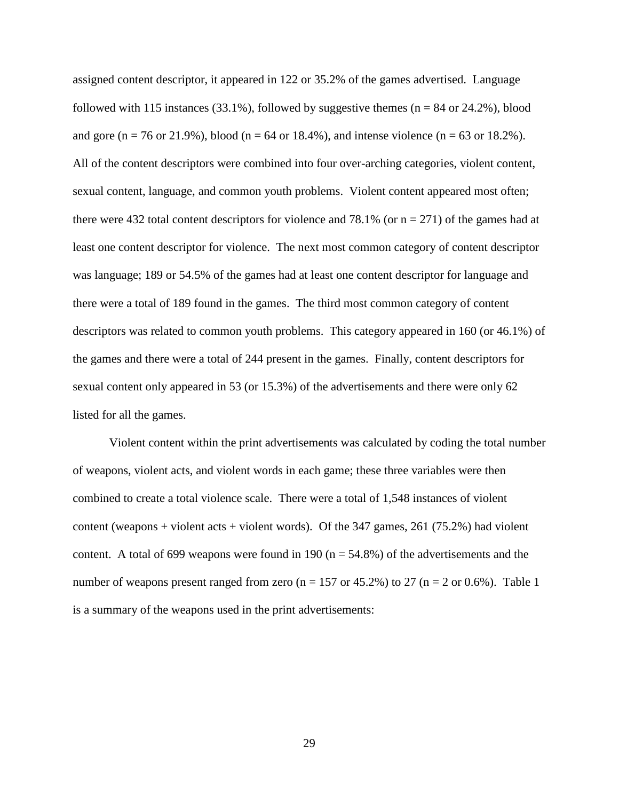assigned content descriptor, it appeared in 122 or 35.2% of the games advertised. Language followed with 115 instances (33.1%), followed by suggestive themes ( $n = 84$  or 24.2%), blood and gore (n = 76 or 21.9%), blood (n = 64 or 18.4%), and intense violence (n = 63 or 18.2%). All of the content descriptors were combined into four over-arching categories, violent content, sexual content, language, and common youth problems. Violent content appeared most often; there were 432 total content descriptors for violence and 78.1% (or  $n = 271$ ) of the games had at least one content descriptor for violence. The next most common category of content descriptor was language; 189 or 54.5% of the games had at least one content descriptor for language and there were a total of 189 found in the games. The third most common category of content descriptors was related to common youth problems. This category appeared in 160 (or 46.1%) of the games and there were a total of 244 present in the games. Finally, content descriptors for sexual content only appeared in 53 (or 15.3%) of the advertisements and there were only 62 listed for all the games.

Violent content within the print advertisements was calculated by coding the total number of weapons, violent acts, and violent words in each game; these three variables were then combined to create a total violence scale. There were a total of 1,548 instances of violent content (weapons + violent acts + violent words). Of the  $347$  games,  $261$  (75.2%) had violent content. A total of 699 weapons were found in 190 ( $n = 54.8\%$ ) of the advertisements and the number of weapons present ranged from zero (n = 157 or 45.2%) to 27 (n = 2 or 0.6%). Table 1 is a summary of the weapons used in the print advertisements: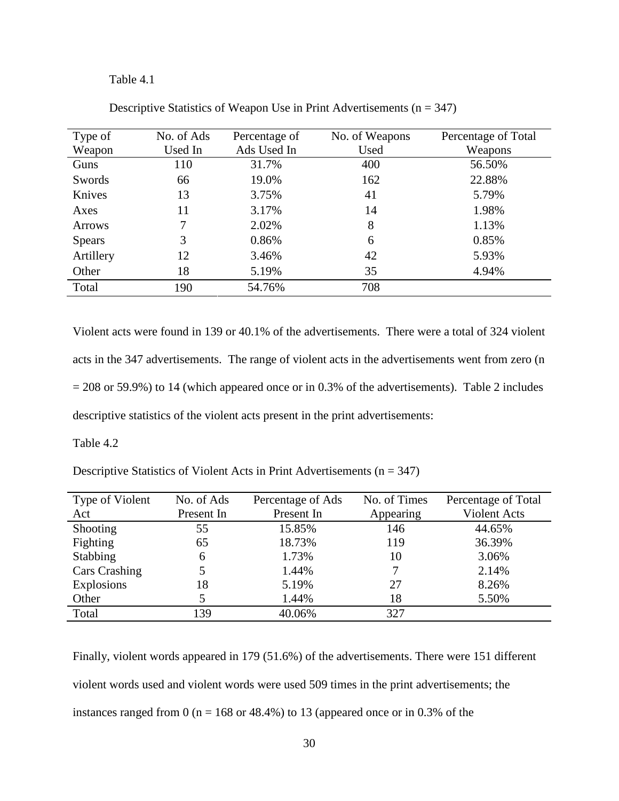## Table 4.1

| Type of       | No. of Ads | Percentage of | No. of Weapons | Percentage of Total |
|---------------|------------|---------------|----------------|---------------------|
| Weapon        | Used In    | Ads Used In   | Used           | Weapons             |
| Guns          | 110        | 31.7%         | 400            | 56.50%              |
| Swords        | 66         | 19.0%         | 162            | 22.88%              |
| Knives        | 13         | 3.75%         | 41             | 5.79%               |
| Axes          | 11         | 3.17%         | 14             | 1.98%               |
| <b>Arrows</b> | 7          | 2.02%         | 8              | 1.13%               |
| <b>Spears</b> | 3          | 0.86%         | 6              | 0.85%               |
| Artillery     | 12         | 3.46%         | 42             | 5.93%               |
| Other         | 18         | 5.19%         | 35             | 4.94%               |
| Total         | 190        | 54.76%        | 708            |                     |

Descriptive Statistics of Weapon Use in Print Advertisements  $(n = 347)$ 

Violent acts were found in 139 or 40.1% of the advertisements. There were a total of 324 violent acts in the 347 advertisements. The range of violent acts in the advertisements went from zero (n  $= 208$  or 59.9%) to 14 (which appeared once or in 0.3% of the advertisements). Table 2 includes descriptive statistics of the violent acts present in the print advertisements:

Table 4.2

Descriptive Statistics of Violent Acts in Print Advertisements ( $n = 347$ )

| Type of Violent   | No. of Ads | Percentage of Ads | No. of Times | Percentage of Total |
|-------------------|------------|-------------------|--------------|---------------------|
| Act               | Present In | Present In        | Appearing    | Violent Acts        |
| <b>Shooting</b>   | 55         | 15.85%            | 146          | 44.65%              |
| Fighting          | 65         | 18.73%            | 119          | 36.39%              |
| <b>Stabbing</b>   | 6          | 1.73%             | 10           | 3.06%               |
| Cars Crashing     |            | 1.44%             |              | 2.14%               |
| <b>Explosions</b> | 18         | 5.19%             | 27           | 8.26%               |
| Other             |            | 1.44%             | 18           | 5.50%               |
| Total             | 139        | 40.06%            | 327          |                     |

Finally, violent words appeared in 179 (51.6%) of the advertisements. There were 151 different violent words used and violent words were used 509 times in the print advertisements; the instances ranged from  $0$  (n = 168 or 48.4%) to 13 (appeared once or in 0.3% of the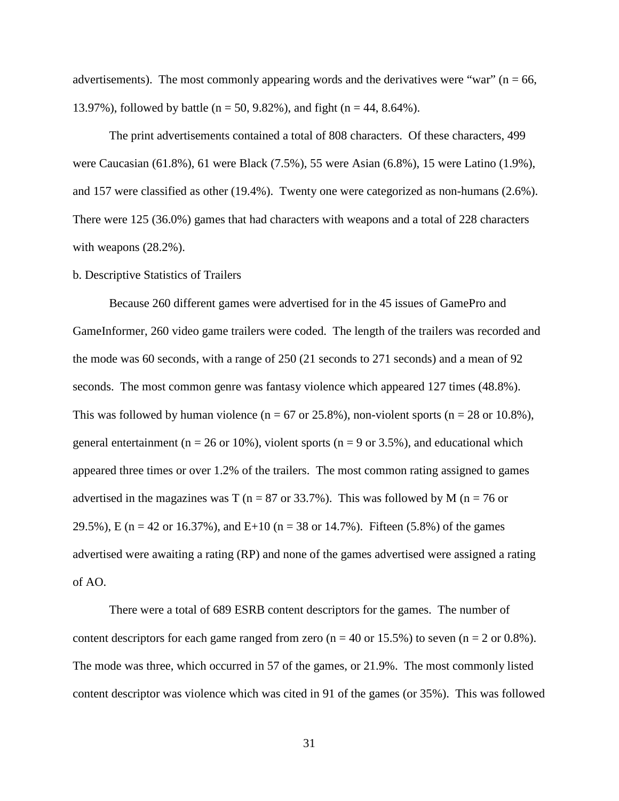advertisements). The most commonly appearing words and the derivatives were "war" ( $n = 66$ , 13.97%), followed by battle ( $n = 50, 9.82$ %), and fight ( $n = 44, 8.64$ %).

The print advertisements contained a total of 808 characters. Of these characters, 499 were Caucasian (61.8%), 61 were Black (7.5%), 55 were Asian (6.8%), 15 were Latino (1.9%), and 157 were classified as other (19.4%). Twenty one were categorized as non-humans (2.6%). There were 125 (36.0%) games that had characters with weapons and a total of 228 characters with weapons (28.2%).

## b. Descriptive Statistics of Trailers

Because 260 different games were advertised for in the 45 issues of GamePro and GameInformer, 260 video game trailers were coded. The length of the trailers was recorded and the mode was 60 seconds, with a range of 250 (21 seconds to 271 seconds) and a mean of 92 seconds. The most common genre was fantasy violence which appeared 127 times (48.8%). This was followed by human violence ( $n = 67$  or 25.8%), non-violent sports ( $n = 28$  or 10.8%), general entertainment ( $n = 26$  or 10%), violent sports ( $n = 9$  or 3.5%), and educational which appeared three times or over 1.2% of the trailers. The most common rating assigned to games advertised in the magazines was T ( $n = 87$  or 33.7%). This was followed by M ( $n = 76$  or 29.5%), E (n = 42 or 16.37%), and E+10 (n = 38 or 14.7%). Fifteen (5.8%) of the games advertised were awaiting a rating (RP) and none of the games advertised were assigned a rating of AO.

There were a total of 689 ESRB content descriptors for the games. The number of content descriptors for each game ranged from zero ( $n = 40$  or 15.5%) to seven ( $n = 2$  or 0.8%). The mode was three, which occurred in 57 of the games, or 21.9%. The most commonly listed content descriptor was violence which was cited in 91 of the games (or 35%). This was followed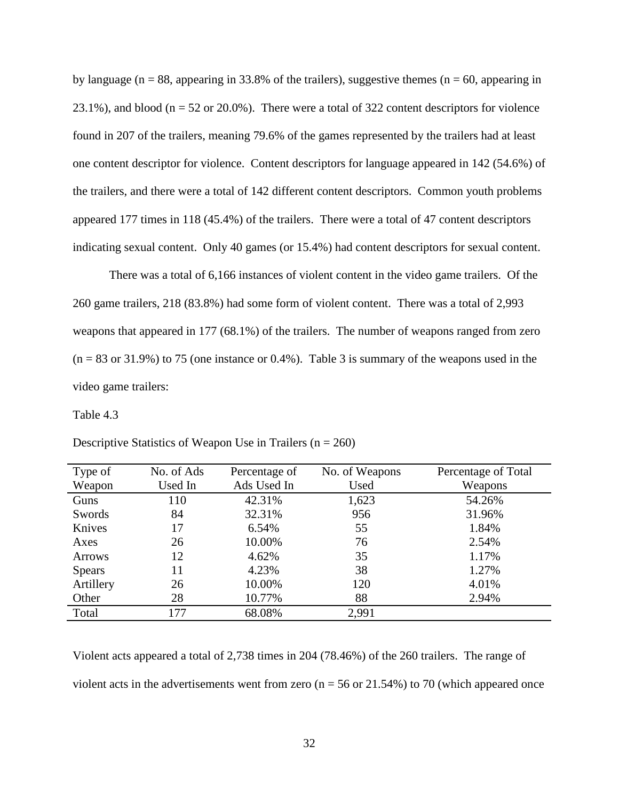by language ( $n = 88$ , appearing in 33.8% of the trailers), suggestive themes ( $n = 60$ , appearing in 23.1%), and blood ( $n = 52$  or 20.0%). There were a total of 322 content descriptors for violence found in 207 of the trailers, meaning 79.6% of the games represented by the trailers had at least one content descriptor for violence. Content descriptors for language appeared in 142 (54.6%) of the trailers, and there were a total of 142 different content descriptors. Common youth problems appeared 177 times in 118 (45.4%) of the trailers. There were a total of 47 content descriptors indicating sexual content. Only 40 games (or 15.4%) had content descriptors for sexual content.

There was a total of 6,166 instances of violent content in the video game trailers. Of the 260 game trailers, 218 (83.8%) had some form of violent content. There was a total of 2,993 weapons that appeared in 177 (68.1%) of the trailers. The number of weapons ranged from zero  $(n = 83 \text{ or } 31.9\%)$  to 75 (one instance or 0.4%). Table 3 is summary of the weapons used in the video game trailers:

#### Table 4.3

| Type of       | No. of Ads | Percentage of | No. of Weapons | Percentage of Total |
|---------------|------------|---------------|----------------|---------------------|
| Weapon        | Used In    | Ads Used In   | Used           | Weapons             |
| Guns          | 110        | 42.31%        | 1,623          | 54.26%              |
| Swords        | 84         | 32.31%        | 956            | 31.96%              |
| Knives        | 17         | 6.54%         | 55             | 1.84%               |
| Axes          | 26         | 10.00%        | 76             | 2.54%               |
| <b>Arrows</b> | 12         | 4.62%         | 35             | 1.17%               |
| <b>Spears</b> | 11         | 4.23%         | 38             | 1.27%               |
| Artillery     | 26         | 10.00%        | 120            | 4.01%               |
| Other         | 28         | 10.77%        | 88             | 2.94%               |
| Total         | 177        | 68.08%        | 2,991          |                     |

Descriptive Statistics of Weapon Use in Trailers ( $n = 260$ )

Violent acts appeared a total of 2,738 times in 204 (78.46%) of the 260 trailers. The range of violent acts in the advertisements went from zero ( $n = 56$  or 21.54%) to 70 (which appeared once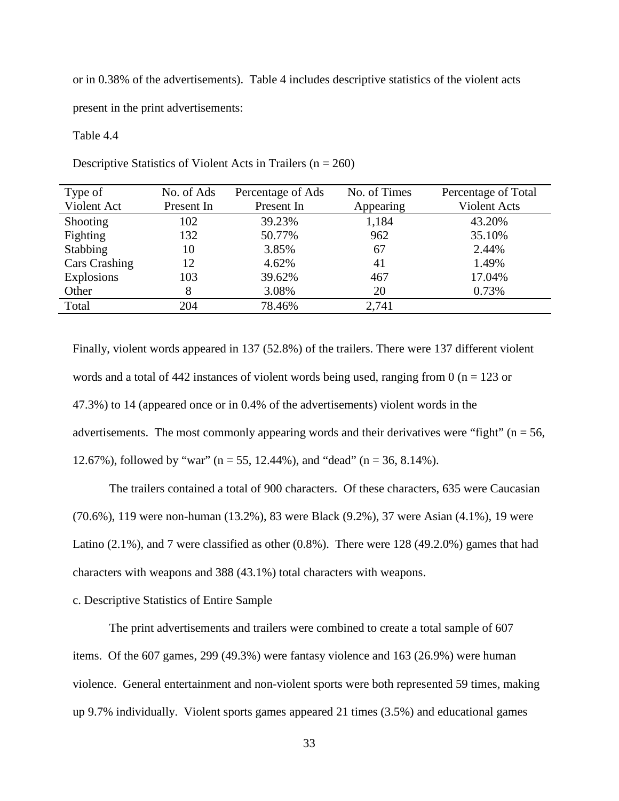or in 0.38% of the advertisements). Table 4 includes descriptive statistics of the violent acts

present in the print advertisements:

#### Table 4.4

Descriptive Statistics of Violent Acts in Trailers ( $n = 260$ )

| Type of              | No. of Ads | Percentage of Ads | No. of Times | Percentage of Total |
|----------------------|------------|-------------------|--------------|---------------------|
| Violent Act          | Present In | Present In        | Appearing    | Violent Acts        |
| <b>Shooting</b>      | 102        | 39.23%            | 1,184        | 43.20%              |
| Fighting             | 132        | 50.77%            | 962          | 35.10%              |
| Stabbing             | 10         | 3.85%             | 67           | 2.44%               |
| <b>Cars Crashing</b> | 12         | 4.62%             | 41           | 1.49%               |
| Explosions           | 103        | 39.62%            | 467          | 17.04%              |
| Other                |            | 3.08%             | 20           | 0.73%               |
| Total                | 204        | 78.46%            | 2,741        |                     |
|                      |            |                   |              |                     |

Finally, violent words appeared in 137 (52.8%) of the trailers. There were 137 different violent words and a total of 442 instances of violent words being used, ranging from 0 ( $n = 123$  or 47.3%) to 14 (appeared once or in 0.4% of the advertisements) violent words in the advertisements. The most commonly appearing words and their derivatives were "fight" ( $n = 56$ , 12.67%), followed by "war" ( $n = 55$ , 12.44%), and "dead" ( $n = 36$ , 8.14%).

The trailers contained a total of 900 characters. Of these characters, 635 were Caucasian (70.6%), 119 were non-human (13.2%), 83 were Black (9.2%), 37 were Asian (4.1%), 19 were Latino (2.1%), and 7 were classified as other (0.8%). There were 128 (49.2.0%) games that had characters with weapons and 388 (43.1%) total characters with weapons.

## c. Descriptive Statistics of Entire Sample

The print advertisements and trailers were combined to create a total sample of 607 items. Of the 607 games, 299 (49.3%) were fantasy violence and 163 (26.9%) were human violence. General entertainment and non-violent sports were both represented 59 times, making up 9.7% individually. Violent sports games appeared 21 times (3.5%) and educational games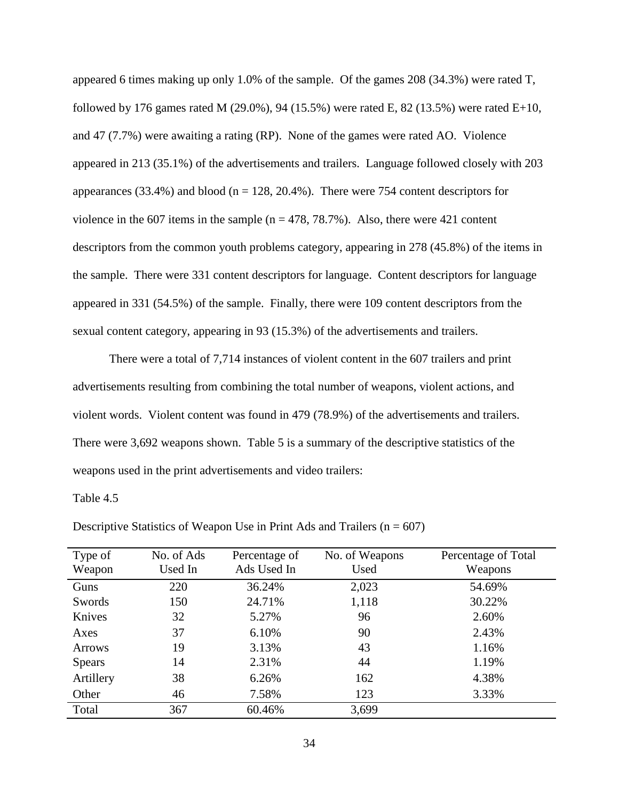appeared 6 times making up only 1.0% of the sample. Of the games 208 (34.3%) were rated T, followed by 176 games rated M (29.0%), 94 (15.5%) were rated E, 82 (13.5%) were rated E+10, and 47 (7.7%) were awaiting a rating (RP). None of the games were rated AO. Violence appeared in 213 (35.1%) of the advertisements and trailers. Language followed closely with 203 appearances  $(33.4\%)$  and blood (n = 128, 20.4%). There were 754 content descriptors for violence in the 607 items in the sample ( $n = 478, 78.7\%$ ). Also, there were 421 content descriptors from the common youth problems category, appearing in 278 (45.8%) of the items in the sample. There were 331 content descriptors for language. Content descriptors for language appeared in 331 (54.5%) of the sample. Finally, there were 109 content descriptors from the sexual content category, appearing in 93 (15.3%) of the advertisements and trailers.

There were a total of 7,714 instances of violent content in the 607 trailers and print advertisements resulting from combining the total number of weapons, violent actions, and violent words. Violent content was found in 479 (78.9%) of the advertisements and trailers. There were 3,692 weapons shown. Table 5 is a summary of the descriptive statistics of the weapons used in the print advertisements and video trailers:

Table 4.5

| Type of       | No. of Ads | Percentage of | No. of Weapons | Percentage of Total |
|---------------|------------|---------------|----------------|---------------------|
| Weapon        | Used In    | Ads Used In   | Used           | Weapons             |
| Guns          | 220        | 36.24%        | 2,023          | 54.69%              |
| Swords        | 150        | 24.71%        | 1,118          | 30.22%              |
| Knives        | 32         | 5.27%         | 96             | 2.60%               |
| Axes          | 37         | 6.10%         | 90             | 2.43%               |
| <b>Arrows</b> | 19         | 3.13%         | 43             | 1.16%               |
| <b>Spears</b> | 14         | 2.31%         | 44             | 1.19%               |
| Artillery     | 38         | 6.26%         | 162            | 4.38%               |
| Other         | 46         | 7.58%         | 123            | 3.33%               |
| Total         | 367        | 60.46%        | 3,699          |                     |

Descriptive Statistics of Weapon Use in Print Ads and Trailers  $(n = 607)$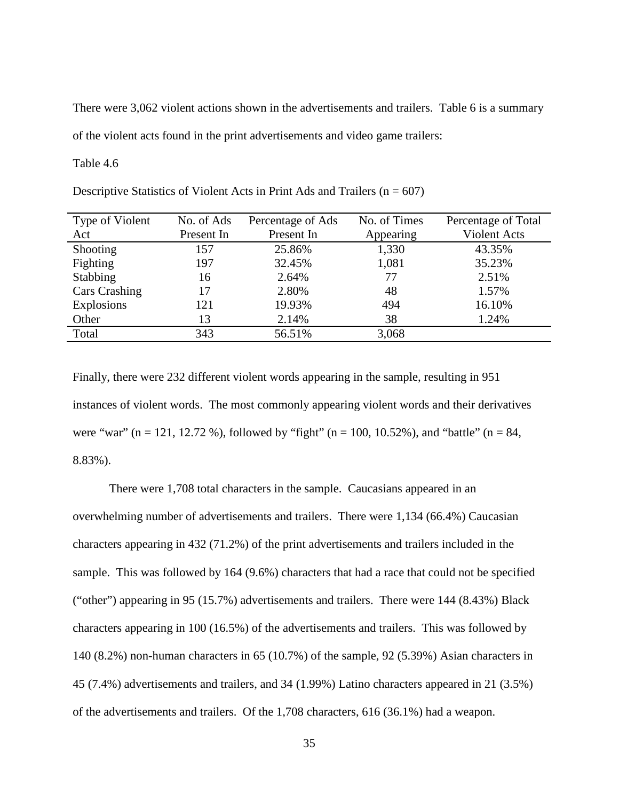There were 3,062 violent actions shown in the advertisements and trailers. Table 6 is a summary of the violent acts found in the print advertisements and video game trailers:

Table 4.6

| Type of Violent      | No. of Ads | Percentage of Ads | No. of Times | Percentage of Total |
|----------------------|------------|-------------------|--------------|---------------------|
| Act                  | Present In | Present In        | Appearing    | Violent Acts        |
| Shooting             | 157        | 25.86%            | 1,330        | 43.35%              |
| Fighting             | 197        | 32.45%            | 1,081        | 35.23%              |
| <b>Stabbing</b>      | 16         | 2.64%             | 77           | 2.51%               |
| <b>Cars Crashing</b> | 17         | 2.80%             | 48           | 1.57%               |
| Explosions           | 121        | 19.93%            | 494          | 16.10%              |
| Other                | 13         | 2.14%             | 38           | 1.24%               |
| Total                | 343        | 56.51%            | 3,068        |                     |
|                      |            |                   |              |                     |

Descriptive Statistics of Violent Acts in Print Ads and Trailers  $(n = 607)$ 

Finally, there were 232 different violent words appearing in the sample, resulting in 951 instances of violent words. The most commonly appearing violent words and their derivatives were "war" (n = 121, 12.72 %), followed by "fight" (n = 100, 10.52%), and "battle" (n = 84, 8.83%).

There were 1,708 total characters in the sample. Caucasians appeared in an overwhelming number of advertisements and trailers. There were 1,134 (66.4%) Caucasian characters appearing in 432 (71.2%) of the print advertisements and trailers included in the sample. This was followed by 164 (9.6%) characters that had a race that could not be specified ("other") appearing in 95 (15.7%) advertisements and trailers. There were 144 (8.43%) Black characters appearing in 100 (16.5%) of the advertisements and trailers. This was followed by 140 (8.2%) non-human characters in 65 (10.7%) of the sample, 92 (5.39%) Asian characters in 45 (7.4%) advertisements and trailers, and 34 (1.99%) Latino characters appeared in 21 (3.5%) of the advertisements and trailers. Of the 1,708 characters, 616 (36.1%) had a weapon.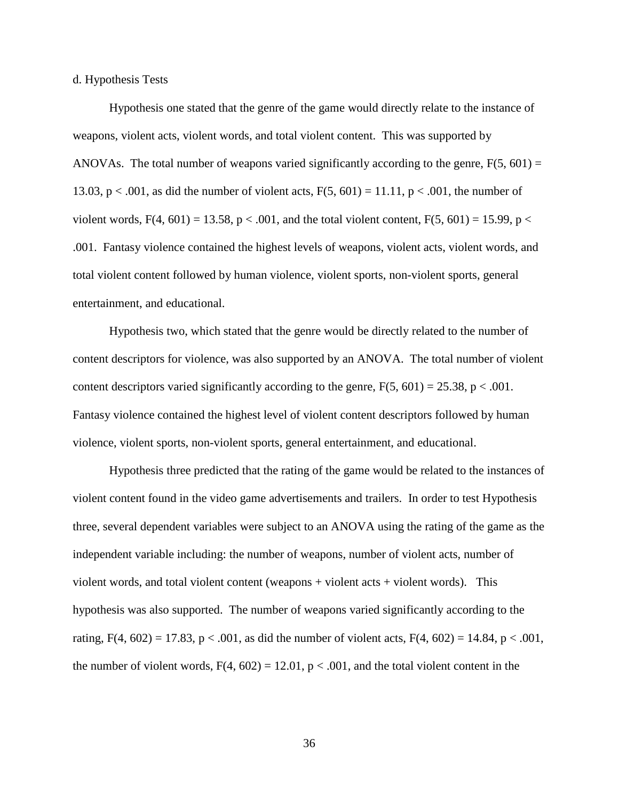d. Hypothesis Tests

Hypothesis one stated that the genre of the game would directly relate to the instance of weapons, violent acts, violent words, and total violent content. This was supported by ANOVAs. The total number of weapons varied significantly according to the genre,  $F(5, 601) =$ 13.03, p < .001, as did the number of violent acts,  $F(5, 601) = 11.11$ , p < .001, the number of violent words,  $F(4, 601) = 13.58$ ,  $p < .001$ , and the total violent content,  $F(5, 601) = 15.99$ ,  $p <$ .001. Fantasy violence contained the highest levels of weapons, violent acts, violent words, and total violent content followed by human violence, violent sports, non-violent sports, general entertainment, and educational.

Hypothesis two, which stated that the genre would be directly related to the number of content descriptors for violence, was also supported by an ANOVA. The total number of violent content descriptors varied significantly according to the genre,  $F(5, 601) = 25.38$ ,  $p < .001$ . Fantasy violence contained the highest level of violent content descriptors followed by human violence, violent sports, non-violent sports, general entertainment, and educational.

Hypothesis three predicted that the rating of the game would be related to the instances of violent content found in the video game advertisements and trailers. In order to test Hypothesis three, several dependent variables were subject to an ANOVA using the rating of the game as the independent variable including: the number of weapons, number of violent acts, number of violent words, and total violent content (weapons + violent acts + violent words). This hypothesis was also supported. The number of weapons varied significantly according to the rating, F(4, 602) = 17.83,  $p < .001$ , as did the number of violent acts, F(4, 602) = 14.84,  $p < .001$ , the number of violent words,  $F(4, 602) = 12.01$ ,  $p < .001$ , and the total violent content in the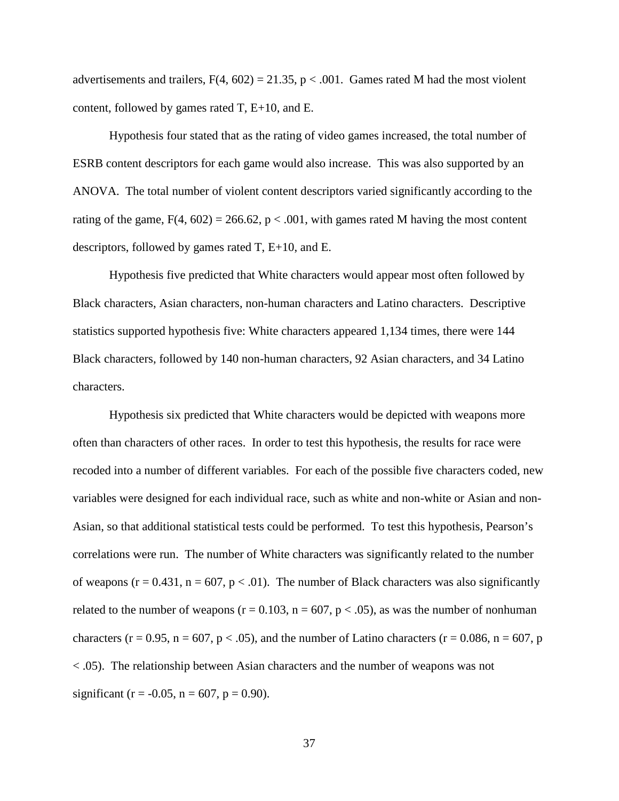advertisements and trailers,  $F(4, 602) = 21.35$ ,  $p < .001$ . Games rated M had the most violent content, followed by games rated T, E+10, and E.

Hypothesis four stated that as the rating of video games increased, the total number of ESRB content descriptors for each game would also increase. This was also supported by an ANOVA. The total number of violent content descriptors varied significantly according to the rating of the game,  $F(4, 602) = 266.62$ , p < .001, with games rated M having the most content descriptors, followed by games rated T, E+10, and E.

Hypothesis five predicted that White characters would appear most often followed by Black characters, Asian characters, non-human characters and Latino characters. Descriptive statistics supported hypothesis five: White characters appeared 1,134 times, there were 144 Black characters, followed by 140 non-human characters, 92 Asian characters, and 34 Latino characters.

Hypothesis six predicted that White characters would be depicted with weapons more often than characters of other races. In order to test this hypothesis, the results for race were recoded into a number of different variables. For each of the possible five characters coded, new variables were designed for each individual race, such as white and non-white or Asian and non-Asian, so that additional statistical tests could be performed. To test this hypothesis, Pearson's correlations were run. The number of White characters was significantly related to the number of weapons ( $r = 0.431$ ,  $n = 607$ ,  $p < .01$ ). The number of Black characters was also significantly related to the number of weapons ( $r = 0.103$ ,  $n = 607$ ,  $p < .05$ ), as was the number of nonhuman characters (r = 0.95, n = 607, p < .05), and the number of Latino characters (r = 0.086, n = 607, p < .05). The relationship between Asian characters and the number of weapons was not significant (r =  $-0.05$ , n = 607, p = 0.90).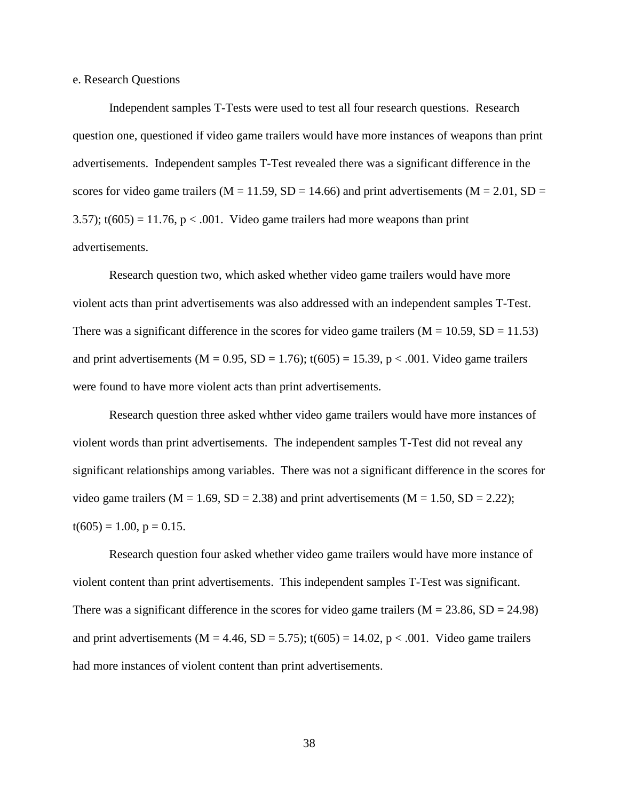e. Research Questions

Independent samples T-Tests were used to test all four research questions. Research question one, questioned if video game trailers would have more instances of weapons than print advertisements. Independent samples T-Test revealed there was a significant difference in the scores for video game trailers ( $M = 11.59$ ,  $SD = 14.66$ ) and print advertisements ( $M = 2.01$ ,  $SD =$ 3.57);  $t(605) = 11.76$ ,  $p < .001$ . Video game trailers had more weapons than print advertisements.

Research question two, which asked whether video game trailers would have more violent acts than print advertisements was also addressed with an independent samples T-Test. There was a significant difference in the scores for video game trailers ( $M = 10.59$ ,  $SD = 11.53$ ) and print advertisements ( $M = 0.95$ ,  $SD = 1.76$ );  $t(605) = 15.39$ ,  $p < .001$ . Video game trailers were found to have more violent acts than print advertisements.

Research question three asked whther video game trailers would have more instances of violent words than print advertisements. The independent samples T-Test did not reveal any significant relationships among variables. There was not a significant difference in the scores for video game trailers ( $M = 1.69$ ,  $SD = 2.38$ ) and print advertisements ( $M = 1.50$ ,  $SD = 2.22$ );  $t(605) = 1.00, p = 0.15.$ 

Research question four asked whether video game trailers would have more instance of violent content than print advertisements. This independent samples T-Test was significant. There was a significant difference in the scores for video game trailers ( $M = 23.86$ ,  $SD = 24.98$ ) and print advertisements (M = 4.46, SD = 5.75);  $t(605) = 14.02$ , p < .001. Video game trailers had more instances of violent content than print advertisements.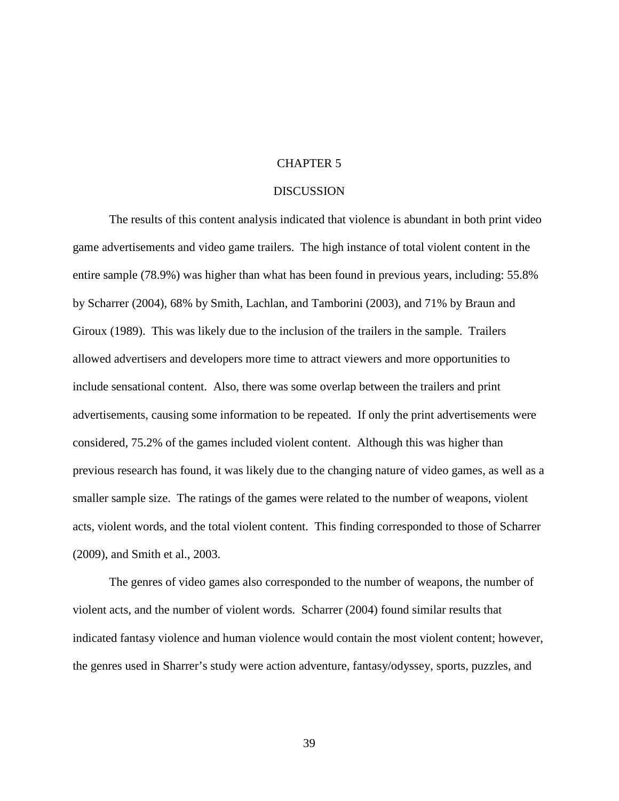#### CHAPTER 5

#### DISCUSSION

The results of this content analysis indicated that violence is abundant in both print video game advertisements and video game trailers. The high instance of total violent content in the entire sample (78.9%) was higher than what has been found in previous years, including: 55.8% by Scharrer (2004), 68% by Smith, Lachlan, and Tamborini (2003), and 71% by Braun and Giroux (1989). This was likely due to the inclusion of the trailers in the sample. Trailers allowed advertisers and developers more time to attract viewers and more opportunities to include sensational content. Also, there was some overlap between the trailers and print advertisements, causing some information to be repeated. If only the print advertisements were considered, 75.2% of the games included violent content. Although this was higher than previous research has found, it was likely due to the changing nature of video games, as well as a smaller sample size. The ratings of the games were related to the number of weapons, violent acts, violent words, and the total violent content. This finding corresponded to those of Scharrer (2009), and Smith et al., 2003.

The genres of video games also corresponded to the number of weapons, the number of violent acts, and the number of violent words. Scharrer (2004) found similar results that indicated fantasy violence and human violence would contain the most violent content; however, the genres used in Sharrer's study were action adventure, fantasy/odyssey, sports, puzzles, and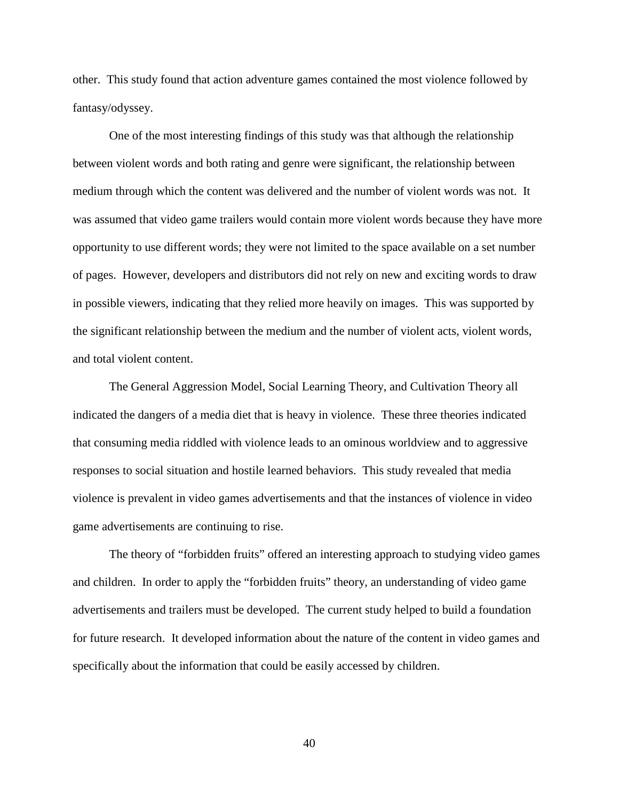other. This study found that action adventure games contained the most violence followed by fantasy/odyssey.

One of the most interesting findings of this study was that although the relationship between violent words and both rating and genre were significant, the relationship between medium through which the content was delivered and the number of violent words was not. It was assumed that video game trailers would contain more violent words because they have more opportunity to use different words; they were not limited to the space available on a set number of pages. However, developers and distributors did not rely on new and exciting words to draw in possible viewers, indicating that they relied more heavily on images. This was supported by the significant relationship between the medium and the number of violent acts, violent words, and total violent content.

The General Aggression Model, Social Learning Theory, and Cultivation Theory all indicated the dangers of a media diet that is heavy in violence. These three theories indicated that consuming media riddled with violence leads to an ominous worldview and to aggressive responses to social situation and hostile learned behaviors. This study revealed that media violence is prevalent in video games advertisements and that the instances of violence in video game advertisements are continuing to rise.

 The theory of "forbidden fruits" offered an interesting approach to studying video games and children. In order to apply the "forbidden fruits" theory, an understanding of video game advertisements and trailers must be developed. The current study helped to build a foundation for future research. It developed information about the nature of the content in video games and specifically about the information that could be easily accessed by children.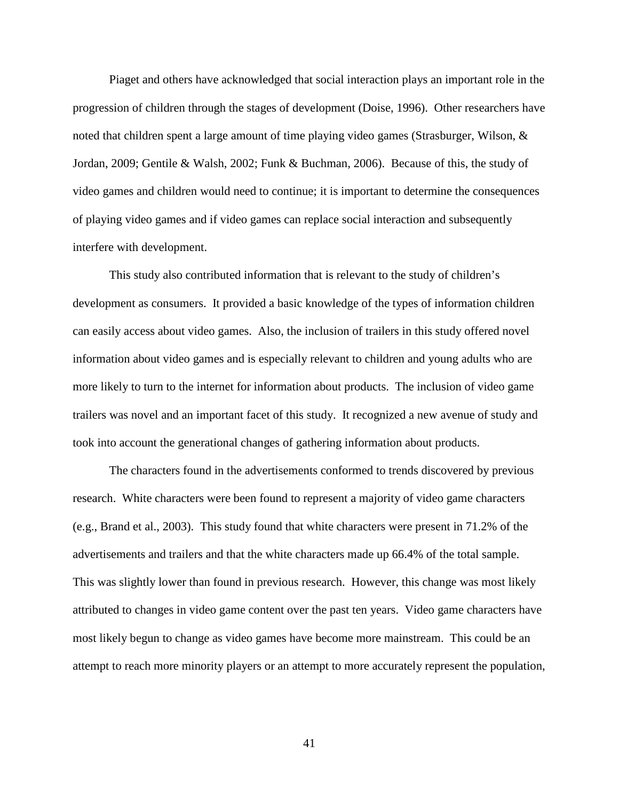Piaget and others have acknowledged that social interaction plays an important role in the progression of children through the stages of development (Doise, 1996). Other researchers have noted that children spent a large amount of time playing video games (Strasburger, Wilson, & Jordan, 2009; Gentile & Walsh, 2002; Funk & Buchman, 2006). Because of this, the study of video games and children would need to continue; it is important to determine the consequences of playing video games and if video games can replace social interaction and subsequently interfere with development.

This study also contributed information that is relevant to the study of children's development as consumers. It provided a basic knowledge of the types of information children can easily access about video games. Also, the inclusion of trailers in this study offered novel information about video games and is especially relevant to children and young adults who are more likely to turn to the internet for information about products. The inclusion of video game trailers was novel and an important facet of this study. It recognized a new avenue of study and took into account the generational changes of gathering information about products.

The characters found in the advertisements conformed to trends discovered by previous research. White characters were been found to represent a majority of video game characters (e.g., Brand et al., 2003). This study found that white characters were present in 71.2% of the advertisements and trailers and that the white characters made up 66.4% of the total sample. This was slightly lower than found in previous research. However, this change was most likely attributed to changes in video game content over the past ten years. Video game characters have most likely begun to change as video games have become more mainstream. This could be an attempt to reach more minority players or an attempt to more accurately represent the population,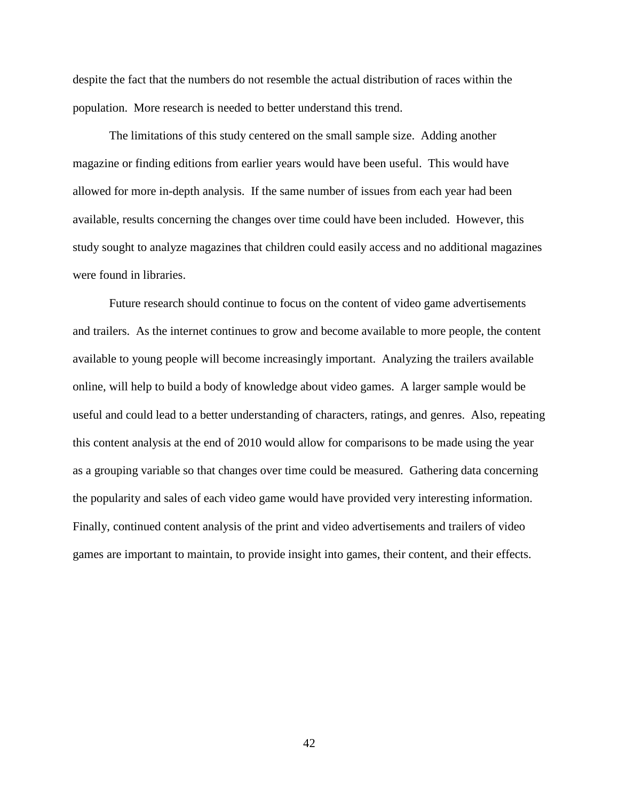despite the fact that the numbers do not resemble the actual distribution of races within the population. More research is needed to better understand this trend.

The limitations of this study centered on the small sample size. Adding another magazine or finding editions from earlier years would have been useful. This would have allowed for more in-depth analysis. If the same number of issues from each year had been available, results concerning the changes over time could have been included. However, this study sought to analyze magazines that children could easily access and no additional magazines were found in libraries.

Future research should continue to focus on the content of video game advertisements and trailers. As the internet continues to grow and become available to more people, the content available to young people will become increasingly important. Analyzing the trailers available online, will help to build a body of knowledge about video games. A larger sample would be useful and could lead to a better understanding of characters, ratings, and genres. Also, repeating this content analysis at the end of 2010 would allow for comparisons to be made using the year as a grouping variable so that changes over time could be measured. Gathering data concerning the popularity and sales of each video game would have provided very interesting information. Finally, continued content analysis of the print and video advertisements and trailers of video games are important to maintain, to provide insight into games, their content, and their effects.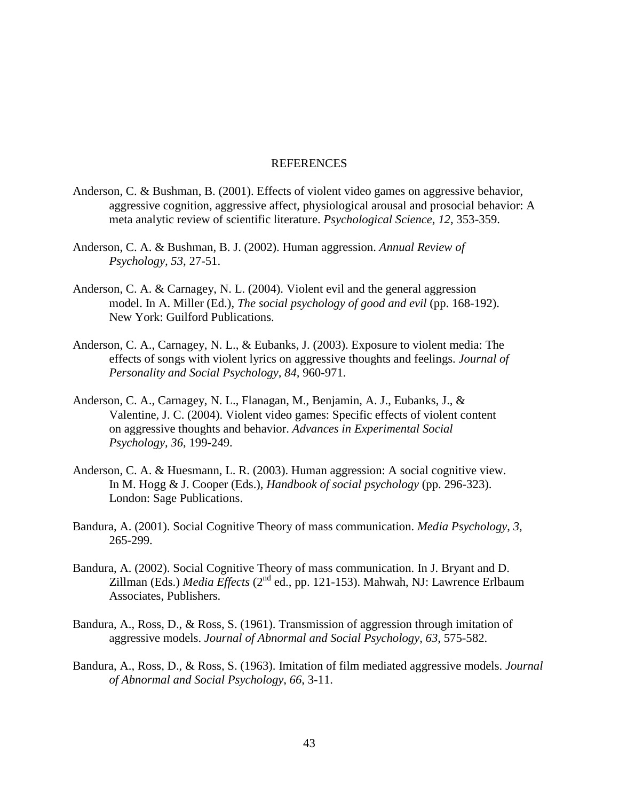## REFERENCES

- Anderson, C. & Bushman, B. (2001). Effects of violent video games on aggressive behavior, aggressive cognition, aggressive affect, physiological arousal and prosocial behavior: A meta analytic review of scientific literature. *Psychological Science*, *12*, 353-359.
- Anderson, C. A. & Bushman, B. J. (2002). Human aggression. *Annual Review of Psychology, 53*, 27-51.
- Anderson, C. A. & Carnagey, N. L. (2004). Violent evil and the general aggression model. In A. Miller (Ed.), *The social psychology of good and evil* (pp. 168-192). New York: Guilford Publications.
- Anderson, C. A., Carnagey, N. L., & Eubanks, J. (2003). Exposure to violent media: The effects of songs with violent lyrics on aggressive thoughts and feelings. *Journal of Personality and Social Psychology, 84,* 960-971.
- Anderson, C. A., Carnagey, N. L., Flanagan, M., Benjamin, A. J., Eubanks, J., & Valentine, J. C. (2004). Violent video games: Specific effects of violent content on aggressive thoughts and behavior. *Advances in Experimental Social Psychology, 36*, 199-249.
- Anderson, C. A. & Huesmann, L. R. (2003). Human aggression: A social cognitive view. In M. Hogg & J. Cooper (Eds.), *Handbook of social psychology* (pp. 296-323). London: Sage Publications.
- Bandura, A. (2001). Social Cognitive Theory of mass communication. *Media Psychology*, *3*, 265-299.
- Bandura, A. (2002). Social Cognitive Theory of mass communication. In J. Bryant and D. Zillman (Eds.) *Media Effects* (2nd ed., pp. 121-153). Mahwah, NJ: Lawrence Erlbaum Associates, Publishers.
- Bandura, A., Ross, D., & Ross, S. (1961). Transmission of aggression through imitation of aggressive models. *Journal of Abnormal and Social Psychology*, *63*, 575-582.
- Bandura, A., Ross, D., & Ross, S. (1963). Imitation of film mediated aggressive models. *Journal of Abnormal and Social Psychology*, *66*, 3-11.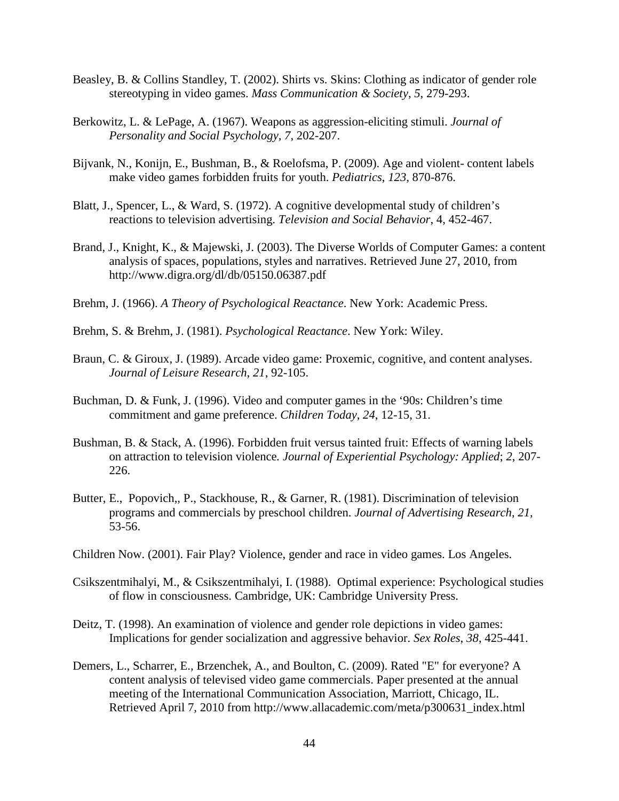- Beasley, B. & Collins Standley, T. (2002). Shirts vs. Skins: Clothing as indicator of gender role stereotyping in video games. *Mass Communication & Society*, *5*, 279-293.
- Berkowitz, L. & LePage, A. (1967). Weapons as aggression-eliciting stimuli. *Journal of Personality and Social Psychology, 7*, 202-207.
- Bijvank, N., Konijn, E., Bushman, B., & Roelofsma, P. (2009). Age and violent- content labels make video games forbidden fruits for youth. *Pediatrics*, *123*, 870-876.
- Blatt, J., Spencer, L., & Ward, S. (1972). A cognitive developmental study of children's reactions to television advertising. *Television and Social Behavior*, 4, 452-467.
- Brand, J., Knight, K., & Majewski, J. (2003). The Diverse Worlds of Computer Games: a content analysis of spaces, populations, styles and narratives. Retrieved June 27, 2010, from http://www.digra.org/dl/db/05150.06387.pdf
- Brehm, J. (1966). *A Theory of Psychological Reactance*. New York: Academic Press.
- Brehm, S. & Brehm, J. (1981). *Psychological Reactance*. New York: Wiley.
- Braun, C. & Giroux, J. (1989). Arcade video game: Proxemic, cognitive, and content analyses. *Journal of Leisure Research*, *21*, 92-105.
- Buchman, D. & Funk, J. (1996). Video and computer games in the '90s: Children's time commitment and game preference. *Children Today*, *24*, 12-15, 31.
- Bushman, B. & Stack, A. (1996). Forbidden fruit versus tainted fruit: Effects of warning labels on attraction to television violence*. Journal of Experiential Psychology: Applied*; *2*, 207- 226.
- Butter, E., Popovich,, P., Stackhouse, R., & Garner, R. (1981). Discrimination of television programs and commercials by preschool children. *Journal of Advertising Research*, *21*, 53-56.
- Children Now. (2001). Fair Play? Violence, gender and race in video games. Los Angeles.
- Csikszentmihalyi, M., & Csikszentmihalyi, I. (1988). Optimal experience: Psychological studies of flow in consciousness. Cambridge, UK: Cambridge University Press.
- Deitz, T. (1998). An examination of violence and gender role depictions in video games: Implications for gender socialization and aggressive behavior. *Sex Roles*, *38*, 425-441.
- Demers, L., Scharrer, E., Brzenchek, A., and Boulton, C. (2009). Rated "E" for everyone? A content analysis of televised video game commercials. Paper presented at the annual meeting of the International Communication Association, Marriott, Chicago, IL. Retrieved April 7, 2010 from http://www.allacademic.com/meta/p300631\_index.html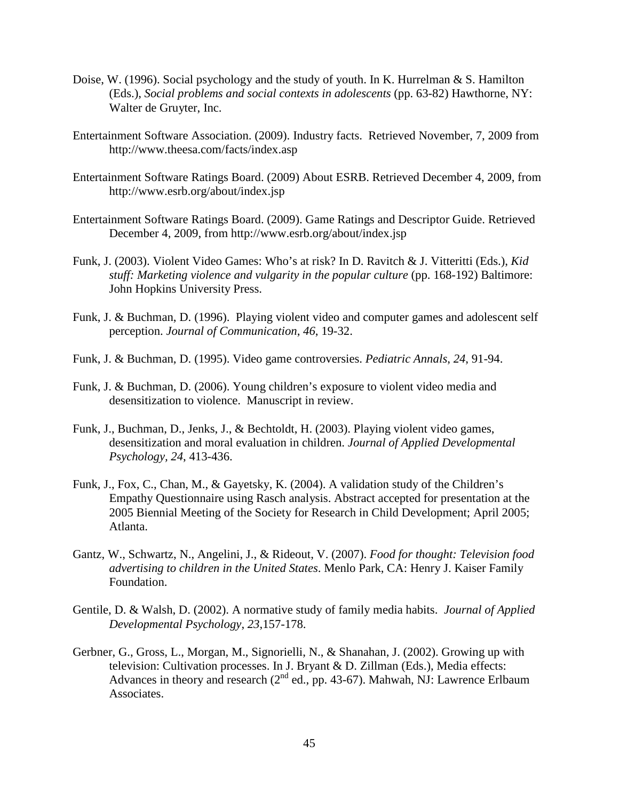- Doise, W. (1996). Social psychology and the study of youth. In K. Hurrelman & S. Hamilton (Eds.), *Social problems and social contexts in adolescents* (pp. 63-82) Hawthorne, NY: Walter de Gruyter, Inc.
- Entertainment Software Association. (2009). Industry facts. Retrieved November, 7, 2009 from http://www.theesa.com/facts/index.asp
- Entertainment Software Ratings Board. (2009) About ESRB. Retrieved December 4, 2009, from http://www.esrb.org/about/index.jsp
- Entertainment Software Ratings Board. (2009). Game Ratings and Descriptor Guide. Retrieved December 4, 2009, from http://www.esrb.org/about/index.jsp
- Funk, J. (2003). Violent Video Games: Who's at risk? In D. Ravitch & J. Vitteritti (Eds.), *Kid stuff: Marketing violence and vulgarity in the popular culture* (pp. 168-192) Baltimore: John Hopkins University Press.
- Funk, J. & Buchman, D. (1996). Playing violent video and computer games and adolescent self perception. *Journal of Communication*, *46*, 19-32.
- Funk, J. & Buchman, D. (1995). Video game controversies. *Pediatric Annals*, *24*, 91-94.
- Funk, J. & Buchman, D. (2006). Young children's exposure to violent video media and desensitization to violence. Manuscript in review.
- Funk, J., Buchman, D., Jenks, J., & Bechtoldt, H. (2003). Playing violent video games, desensitization and moral evaluation in children. *Journal of Applied Developmental Psychology, 24*, 413-436.
- Funk, J., Fox, C., Chan, M., & Gayetsky, K. (2004). A validation study of the Children's Empathy Questionnaire using Rasch analysis. Abstract accepted for presentation at the 2005 Biennial Meeting of the Society for Research in Child Development; April 2005; Atlanta.
- Gantz, W., Schwartz, N., Angelini, J., & Rideout, V. (2007). *Food for thought: Television food advertising to children in the United States*. Menlo Park, CA: Henry J. Kaiser Family Foundation.
- Gentile, D. & Walsh, D. (2002). A normative study of family media habits. *Journal of Applied Developmental Psychology*, *23*,157-178.
- Gerbner, G., Gross, L., Morgan, M., Signorielli, N., & Shanahan, J. (2002). Growing up with television: Cultivation processes. In J. Bryant & D. Zillman (Eds.), Media effects: Advances in theory and research ( $2<sup>nd</sup>$  ed., pp. 43-67). Mahwah, NJ: Lawrence Erlbaum Associates.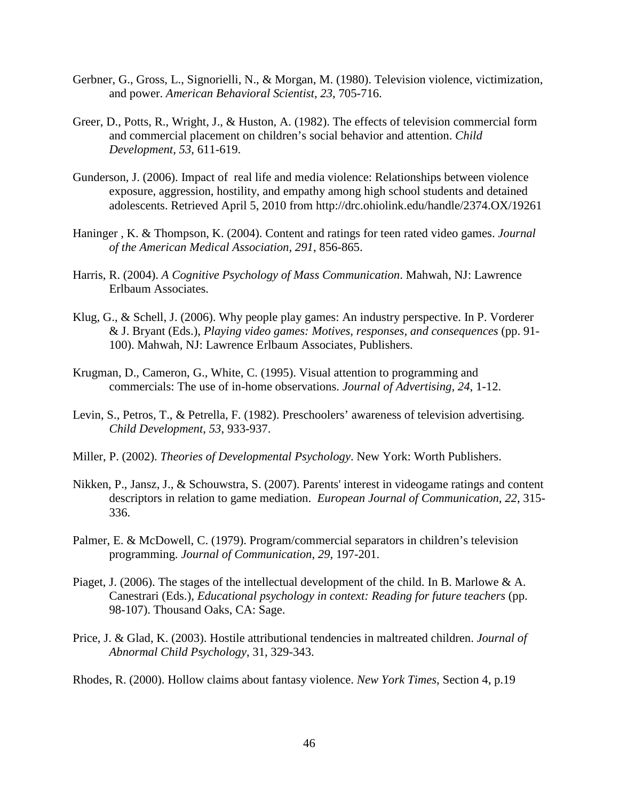- Gerbner, G., Gross, L., Signorielli, N., & Morgan, M. (1980). Television violence, victimization, and power. *American Behavioral Scientist*, *23*, 705-716.
- Greer, D., Potts, R., Wright, J., & Huston, A. (1982). The effects of television commercial form and commercial placement on children's social behavior and attention. *Child Development*, *53*, 611-619.
- Gunderson, J. (2006). Impact of real life and media violence: Relationships between violence exposure, aggression, hostility, and empathy among high school students and detained adolescents. Retrieved April 5, 2010 from http://drc.ohiolink.edu/handle/2374.OX/19261
- Haninger , K. & Thompson, K. (2004). Content and ratings for teen rated video games. *Journal of the American Medical Association*, *291*, 856-865.
- Harris, R. (2004). *A Cognitive Psychology of Mass Communication*. Mahwah, NJ: Lawrence Erlbaum Associates.
- Klug, G., & Schell, J. (2006). Why people play games: An industry perspective. In P. Vorderer & J. Bryant (Eds.), *Playing video games: Motives, responses, and consequences* (pp. 91- 100). Mahwah, NJ: Lawrence Erlbaum Associates, Publishers.
- Krugman, D., Cameron, G., White, C. (1995). Visual attention to programming and commercials: The use of in-home observations. *Journal of Advertising*, *24*, 1-12.
- Levin, S., Petros, T., & Petrella, F. (1982). Preschoolers' awareness of television advertising. *Child Development*, *53*, 933-937.
- Miller, P. (2002). *Theories of Developmental Psychology*. New York: Worth Publishers.
- Nikken, P., Jansz, J., & Schouwstra, S. (2007). Parents' interest in videogame ratings and content descriptors in relation to game mediation. *European Journal of Communication*, *22*, 315- 336.
- Palmer, E. & McDowell, C. (1979). Program/commercial separators in children's television programming. *Journal of Communication*, *29*, 197-201.
- Piaget, J. (2006). The stages of the intellectual development of the child. In B. Marlowe & A. Canestrari (Eds.), *Educational psychology in context: Reading for future teachers* (pp. 98-107). Thousand Oaks, CA: Sage.
- Price, J. & Glad, K. (2003). Hostile attributional tendencies in maltreated children. *Journal of Abnormal Child Psychology*, 31, 329-343.
- Rhodes, R. (2000). Hollow claims about fantasy violence. *New York Times*, Section 4, p.19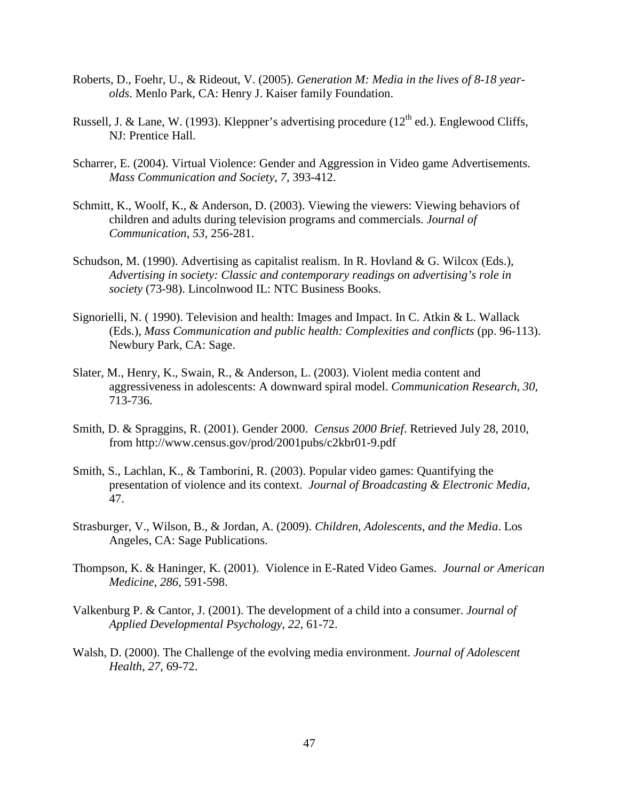- Roberts, D., Foehr, U., & Rideout, V. (2005). *Generation M: Media in the lives of 8-18 yearolds*. Menlo Park, CA: Henry J. Kaiser family Foundation.
- Russell, J. & Lane, W. (1993). Kleppner's advertising procedure (12<sup>th</sup> ed.). Englewood Cliffs, NJ: Prentice Hall.
- Scharrer, E. (2004). Virtual Violence: Gender and Aggression in Video game Advertisements. *Mass Communication and Society*, *7*, 393-412.
- Schmitt, K., Woolf, K., & Anderson, D. (2003). Viewing the viewers: Viewing behaviors of children and adults during television programs and commercials. *Journal of Communication*, *53*, 256-281.
- Schudson, M. (1990). Advertising as capitalist realism. In R. Hovland & G. Wilcox (Eds.), *Advertising in society: Classic and contemporary readings on advertising's role in society* (73-98). Lincolnwood IL: NTC Business Books.
- Signorielli, N. ( 1990). Television and health: Images and Impact. In C. Atkin & L. Wallack (Eds.), *Mass Communication and public health: Complexities and conflicts* (pp. 96-113). Newbury Park, CA: Sage.
- Slater, M., Henry, K., Swain, R., & Anderson, L. (2003). Violent media content and aggressiveness in adolescents: A downward spiral model. *Communication Research*, *30*, 713-736.
- Smith, D. & Spraggins, R. (2001). Gender 2000. *Census 2000 Brief*. Retrieved July 28, 2010, from http://www.census.gov/prod/2001pubs/c2kbr01-9.pdf
- Smith, S., Lachlan, K., & Tamborini, R. (2003). Popular video games: Quantifying the presentation of violence and its context. *Journal of Broadcasting & Electronic Media*, 47.
- Strasburger, V., Wilson, B., & Jordan, A. (2009). *Children, Adolescents, and the Media*. Los Angeles, CA: Sage Publications.
- Thompson, K. & Haninger, K. (2001). Violence in E-Rated Video Games. *Journal or American Medicine*, *286*, 591-598.
- Valkenburg P. & Cantor, J. (2001). The development of a child into a consumer. *Journal of Applied Developmental Psychology*, *22*, 61-72.
- Walsh, D. (2000). The Challenge of the evolving media environment. *Journal of Adolescent Health*, *27*, 69-72.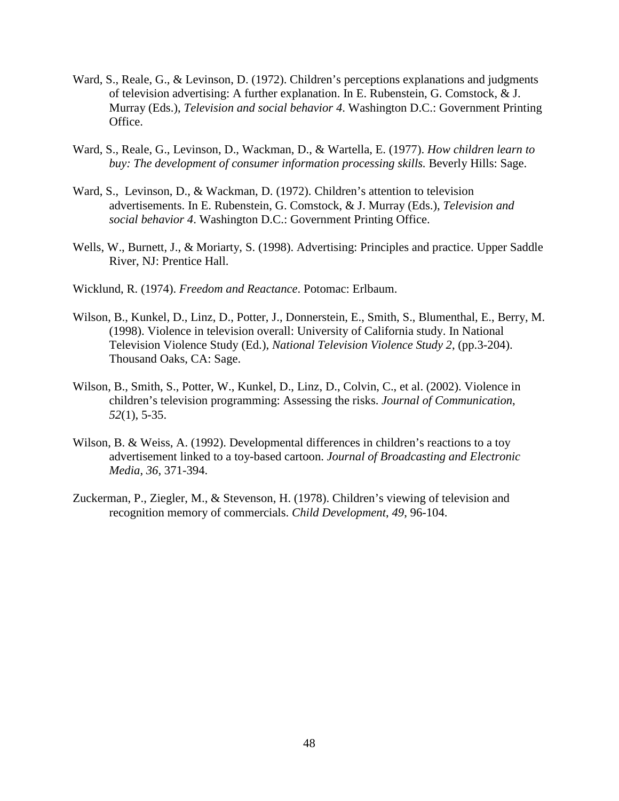- Ward, S., Reale, G., & Levinson, D. (1972). Children's perceptions explanations and judgments of television advertising: A further explanation. In E. Rubenstein, G. Comstock, & J. Murray (Eds.), *Television and social behavior 4*. Washington D.C.: Government Printing Office.
- Ward, S., Reale, G., Levinson, D., Wackman, D., & Wartella, E. (1977). *How children learn to buy: The development of consumer information processing skills.* Beverly Hills: Sage.
- Ward, S., Levinson, D., & Wackman, D. (1972). Children's attention to television advertisements. In E. Rubenstein, G. Comstock, & J. Murray (Eds.), *Television and social behavior 4*. Washington D.C.: Government Printing Office.
- Wells, W., Burnett, J., & Moriarty, S. (1998). Advertising: Principles and practice. Upper Saddle River, NJ: Prentice Hall.
- Wicklund, R. (1974). *Freedom and Reactance*. Potomac: Erlbaum.
- Wilson, B., Kunkel, D., Linz, D., Potter, J., Donnerstein, E., Smith, S., Blumenthal, E., Berry, M. (1998). Violence in television overall: University of California study. In National Television Violence Study (Ed.), *National Television Violence Study 2*, (pp.3-204). Thousand Oaks, CA: Sage.
- Wilson, B., Smith, S., Potter, W., Kunkel, D., Linz, D., Colvin, C., et al. (2002). Violence in children's television programming: Assessing the risks. *Journal of Communication*, *52*(1), 5-35.
- Wilson, B. & Weiss, A. (1992). Developmental differences in children's reactions to a toy advertisement linked to a toy-based cartoon. *Journal of Broadcasting and Electronic Media*, *36*, 371-394.
- Zuckerman, P., Ziegler, M., & Stevenson, H. (1978). Children's viewing of television and recognition memory of commercials. *Child Development*, *49*, 96-104.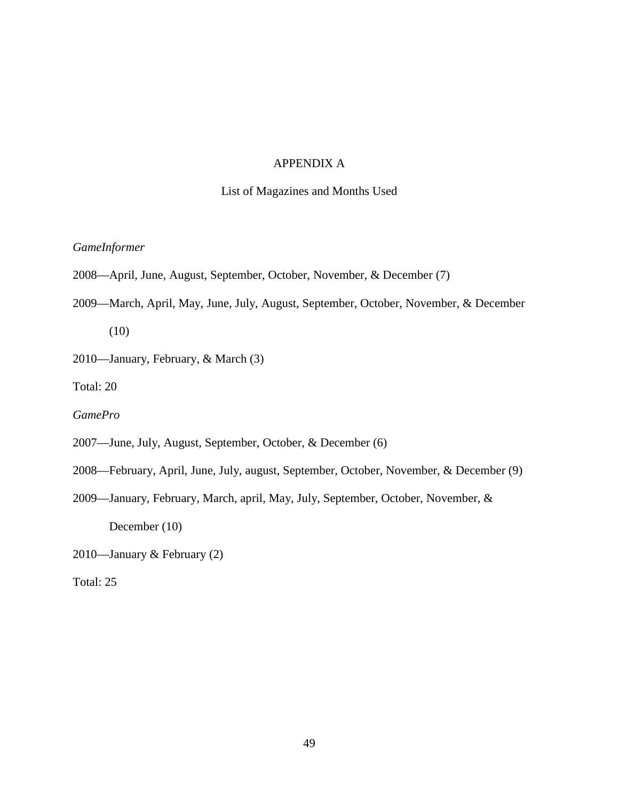# APPENDIX A

# List of Magazines and Months Used

# *GameInformer*

- 2008—April, June, August, September, October, November, & December (7)
- 2009—March, April, May, June, July, August, September, October, November, & December (10)
- 2010—January, February, & March (3)

Total: 20

*GamePro* 

- 2007—June, July, August, September, October, & December (6)
- 2008—February, April, June, July, august, September, October, November, & December (9)
- 2009—January, February, March, april, May, July, September, October, November, & December (10)
- 2010—January & February (2)
- Total: 25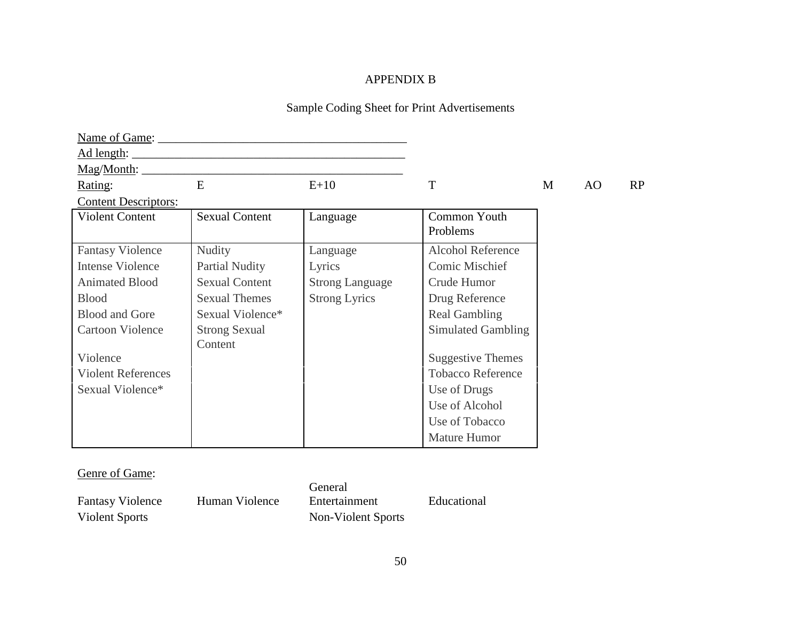# APPENDIX B

# Sample Coding Sheet for Print Advertisements

| Name of Game:                       |                       |                        |                          |   |     |    |
|-------------------------------------|-----------------------|------------------------|--------------------------|---|-----|----|
| Ad length:                          |                       |                        |                          |   |     |    |
| $\frac{\text{Mag}}{\text{Month}}$ : |                       |                        |                          |   |     |    |
| Rating:                             | E                     | $E+10$                 | T                        | M | AO. | RP |
| <b>Content Descriptors:</b>         |                       |                        |                          |   |     |    |
| <b>Violent Content</b>              | <b>Sexual Content</b> | Language               | Common Youth             |   |     |    |
|                                     |                       |                        | Problems                 |   |     |    |
| <b>Fantasy Violence</b>             | <b>Nudity</b>         | Language               | <b>Alcohol Reference</b> |   |     |    |
| <b>Intense Violence</b>             | <b>Partial Nudity</b> | Lyrics                 | Comic Mischief           |   |     |    |
| <b>Animated Blood</b>               | <b>Sexual Content</b> | <b>Strong Language</b> | Crude Humor              |   |     |    |
| <b>Blood</b>                        | <b>Sexual Themes</b>  | <b>Strong Lyrics</b>   | Drug Reference           |   |     |    |
| <b>Blood and Gore</b>               | Sexual Violence*      |                        | <b>Real Gambling</b>     |   |     |    |
| <b>Cartoon Violence</b>             | <b>Strong Sexual</b>  |                        | Simulated Gambling       |   |     |    |
|                                     | Content               |                        |                          |   |     |    |
| Violence                            |                       |                        | <b>Suggestive Themes</b> |   |     |    |
| <b>Violent References</b>           |                       |                        | <b>Tobacco Reference</b> |   |     |    |
| Sexual Violence*                    |                       |                        | Use of Drugs             |   |     |    |
|                                     |                       |                        | Use of Alcohol           |   |     |    |
|                                     |                       |                        | Use of Tobacco           |   |     |    |
|                                     |                       |                        | Mature Humor             |   |     |    |

# Genre of Game:

| <b>Fantasy Violence</b> | Human Violence | Entertainment      |
|-------------------------|----------------|--------------------|
| Violent Sports          |                | Non-Violent Sports |

General Entertainment Educational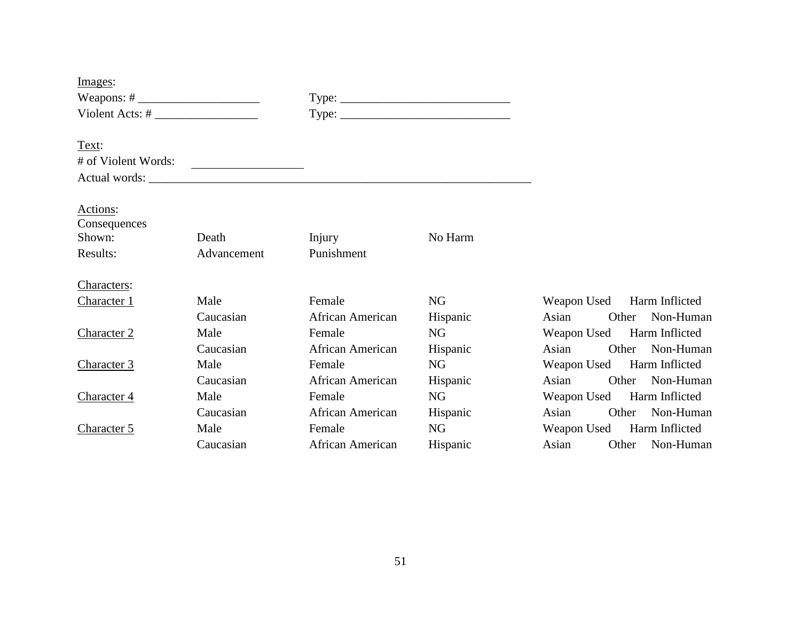| Images:                |             |                  |          |                            |       |                 |
|------------------------|-------------|------------------|----------|----------------------------|-------|-----------------|
|                        |             |                  |          |                            |       |                 |
| Violent Acts: $\#$     |             |                  |          |                            |       |                 |
|                        |             |                  |          |                            |       |                 |
| Text:                  |             |                  |          |                            |       |                 |
| # of Violent Words:    |             |                  |          |                            |       |                 |
|                        |             |                  |          |                            |       |                 |
|                        |             |                  |          |                            |       |                 |
| Actions:               |             |                  |          |                            |       |                 |
| Consequences<br>Shown: | Death       | Injury           | No Harm  |                            |       |                 |
| Results:               | Advancement | Punishment       |          |                            |       |                 |
|                        |             |                  |          |                            |       |                 |
| Characters:            |             |                  |          |                            |       |                 |
| <b>Character 1</b>     | Male        | Female           | NG       | Weapon Used Harm Inflicted |       |                 |
|                        | Caucasian   | African American | Hispanic | Asian<br>Other             |       | Non-Human       |
| Character 2            | Male        | Female           | NG       | Weapon Used Harm Inflicted |       |                 |
|                        | Caucasian   | African American | Hispanic | Asian                      | Other | Non-Human       |
| <b>Character 3</b>     | Male        | Female           | NG       | Weapon Used Harm Inflicted |       |                 |
|                        | Caucasian   | African American | Hispanic | Asian                      | Other | Non-Human       |
| Character 4            | Male        | Female           | NG       | Weapon Used Harm Inflicted |       |                 |
|                        | Caucasian   | African American | Hispanic | Asian                      | Other | Non-Human       |
| Character 5            | Male        | Female           | NG       | Weapon Used Harm Inflicted |       |                 |
|                        | Caucasian   | African American | Hispanic | Asian                      |       | Other Non-Human |
|                        |             |                  |          |                            |       |                 |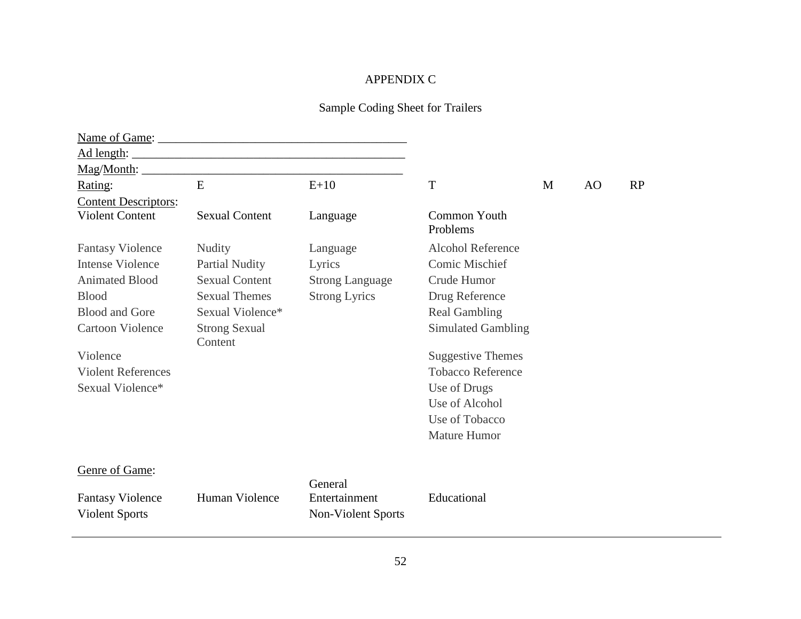# APPENDIX C

# Sample Coding Sheet for Trailers

| Name of Game:                                    |                                 |                                                |                           |   |    |    |
|--------------------------------------------------|---------------------------------|------------------------------------------------|---------------------------|---|----|----|
| Ad length:                                       |                                 |                                                |                           |   |    |    |
| Mag/Month:                                       |                                 |                                                |                           |   |    |    |
| Rating:                                          | E                               | $E+10$                                         | T                         | M | AO | RP |
| <b>Content Descriptors:</b>                      |                                 |                                                |                           |   |    |    |
| <b>Violent Content</b>                           | <b>Sexual Content</b>           | Language                                       | Common Youth<br>Problems  |   |    |    |
| <b>Fantasy Violence</b>                          | <b>Nudity</b>                   | Language                                       | <b>Alcohol Reference</b>  |   |    |    |
| <b>Intense Violence</b>                          | <b>Partial Nudity</b>           | Lyrics                                         | Comic Mischief            |   |    |    |
| <b>Animated Blood</b>                            | <b>Sexual Content</b>           | <b>Strong Language</b>                         | Crude Humor               |   |    |    |
| <b>Blood</b>                                     | <b>Sexual Themes</b>            | <b>Strong Lyrics</b>                           | Drug Reference            |   |    |    |
| <b>Blood and Gore</b>                            | Sexual Violence*                |                                                | <b>Real Gambling</b>      |   |    |    |
| <b>Cartoon Violence</b>                          | <b>Strong Sexual</b><br>Content |                                                | <b>Simulated Gambling</b> |   |    |    |
| Violence                                         |                                 |                                                | <b>Suggestive Themes</b>  |   |    |    |
| <b>Violent References</b>                        |                                 |                                                | <b>Tobacco Reference</b>  |   |    |    |
| Sexual Violence*                                 |                                 |                                                | Use of Drugs              |   |    |    |
|                                                  |                                 |                                                | Use of Alcohol            |   |    |    |
|                                                  |                                 |                                                | Use of Tobacco            |   |    |    |
|                                                  |                                 |                                                | <b>Mature Humor</b>       |   |    |    |
| Genre of Game:                                   |                                 |                                                |                           |   |    |    |
| <b>Fantasy Violence</b><br><b>Violent Sports</b> | Human Violence                  | General<br>Entertainment<br>Non-Violent Sports | Educational               |   |    |    |
|                                                  |                                 |                                                |                           |   |    |    |